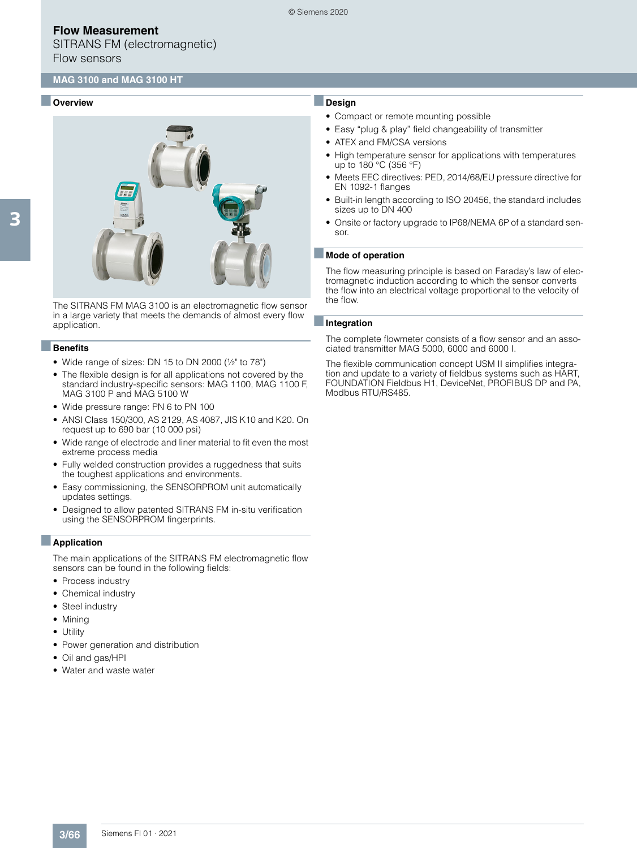SITRANS FM (electromagnetic) Flow sensors

#### ■ **Overview**



The SITRANS FM MAG 3100 is an electromagnetic flow sensor in a large variety that meets the demands of almost every flow application.

#### ■**Benefits**

- Wide range of sizes: DN 15 to DN 2000 (½" to 78")
- The flexible design is for all applications not covered by the standard industry-specific sensors: MAG 1100, MAG 1100 F, MAG 3100 P and MAG 5100 W
- Wide pressure range: PN 6 to PN 100
- ANSI Class 150/300, AS 2129, AS 4087, JIS K10 and K20. On request up to 690 bar (10 000 psi)
- Wide range of electrode and liner material to fit even the most extreme process media
- Fully welded construction provides a ruggedness that suits the toughest applications and environments.
- Easy commissioning, the SENSORPROM unit automatically updates settings.
- Designed to allow patented SITRANS FM in-situ verification using the SENSORPROM fingerprints.

#### ■**Application**

The main applications of the SITRANS FM electromagnetic flow sensors can be found in the following fields:

- Process industry
- Chemical industry
- Steel industry
- Mining
- Utility
- Power generation and distribution
- Oil and gas/HPI
- Water and waste water

## ■**Design**

- Compact or remote mounting possible
- Easy "plug & play" field changeability of transmitter
- ATEX and FM/CSA versions
- High temperature sensor for applications with temperatures up to 180 °C (356 °F)
- Meets EEC directives: PED, 2014/68/EU pressure directive for EN 1092-1 flanges
- Built-in length according to ISO 20456, the standard includes sizes up to DN 400
- Onsite or factory upgrade to IP68/NEMA 6P of a standard sensor.

#### ■ **Mode of operation**

The flow measuring principle is based on Faraday's law of electromagnetic induction according to which the sensor converts the flow into an electrical voltage proportional to the velocity of the flow.

#### ■**Integration**

The complete flowmeter consists of a flow sensor and an associated transmitter MAG 5000, 6000 and 6000 I.

The flexible communication concept USM II simplifies integration and update to a variety of fieldbus systems such as HART, FOUNDATION Fieldbus H1, DeviceNet, PROFIBUS DP and PA, Modbus RTU/RS485.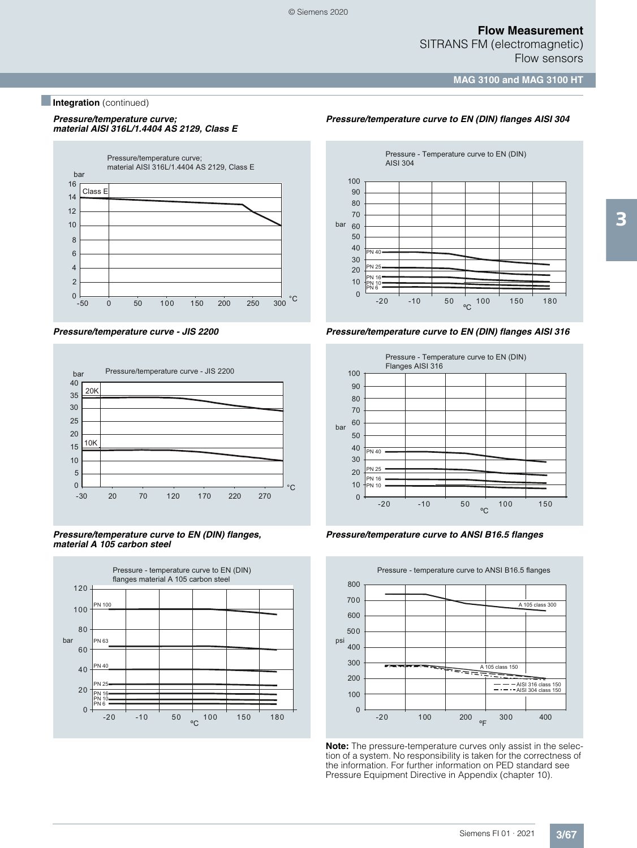**MAG 3100 and MAG 3100 HT**

## **Integration** (continued)

#### *Pressure/temperature curve; material AISI 316L/1.4404 AS 2129, Class E*



*Pressure/temperature curve - JIS 2200*



*Pressure/temperature curve to EN (DIN) flanges, material A 105 carbon steel*





*Pressure/temperature curve to EN (DIN) flanges AISI 304*

*Pressure/temperature curve to EN (DIN) flanges AISI 316*



*Pressure/temperature curve to ANSI B16.5 flanges*



**Note:** The pressure-temperature curves only assist in the selection of a system. No responsibility is taken for the correctness of the information. For further information on PED standard see Pressure Equipment Directive in Appendix (chapter 10).

Siemens FI 01 · 2021 **3/67**

© Siemens 2020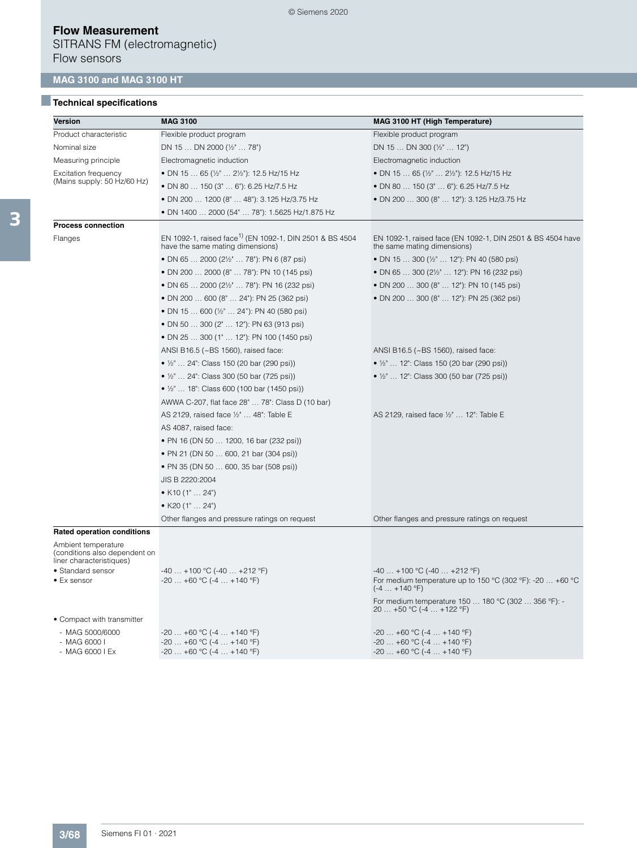SITRANS FM (electromagnetic) Flow sensors

# **MAG 3100 and MAG 3100 HT**

# ■**Technical specifications**

| Version                                                                          | <b>MAG 3100</b>                                                                                         | <b>MAG 3100 HT (High Temperature)</b>                                                         |
|----------------------------------------------------------------------------------|---------------------------------------------------------------------------------------------------------|-----------------------------------------------------------------------------------------------|
| Product characteristic                                                           | Flexible product program                                                                                | Flexible product program                                                                      |
| Nominal size                                                                     | DN 15  DN 2000 (½"  78")                                                                                | DN 15  DN 300 ( $\frac{1}{2}$ "  12")                                                         |
| Measuring principle                                                              | Electromagnetic induction                                                                               | Electromagnetic induction                                                                     |
| Excitation frequency                                                             | • DN 15  65 (½"  2½"): 12.5 Hz/15 Hz                                                                    | • DN 15  65 (½"  2½"): 12.5 Hz/15 Hz                                                          |
| (Mains supply: 50 Hz/60 Hz)                                                      | • DN 80  150 (3"  6"): 6.25 Hz/7.5 Hz                                                                   | • DN 80  150 (3"  6"): 6.25 Hz/7.5 Hz                                                         |
|                                                                                  | • DN 200  1200 (8"  48"): 3.125 Hz/3.75 Hz                                                              | • DN 200  300 (8"  12"): 3.125 Hz/3.75 Hz                                                     |
|                                                                                  | • DN 1400  2000 (54"  78"): 1.5625 Hz/1.875 Hz                                                          |                                                                                               |
| <b>Process connection</b>                                                        |                                                                                                         |                                                                                               |
| Flanges                                                                          | EN 1092-1, raised face <sup>1)</sup> (EN 1092-1, DIN 2501 & BS 4504<br>have the same mating dimensions) | EN 1092-1, raised face (EN 1092-1, DIN 2501 & BS 4504 have<br>the same mating dimensions)     |
|                                                                                  | • DN 65  2000 (2½"  78"): PN 6 (87 psi)                                                                 | • DN 15  300 ( $\frac{1}{2}$ "  12"): PN 40 (580 psi)                                         |
|                                                                                  | • DN 200  2000 (8"  78"): PN 10 (145 psi)                                                               | • DN 65  300 (2½"  12"): PN 16 (232 psi)                                                      |
|                                                                                  | • DN 65  2000 (2½"  78"): PN 16 (232 psi)                                                               | • DN 200  300 (8"  12"): PN 10 (145 psi)                                                      |
|                                                                                  | · DN 200  600 (8"  24"): PN 25 (362 psi)                                                                | • DN 200  300 (8"  12"): PN 25 (362 psi)                                                      |
|                                                                                  | • DN 15  600 (1/2"  24"): PN 40 (580 psi)                                                               |                                                                                               |
|                                                                                  | • DN 50  300 (2"  12"): PN 63 (913 psi)                                                                 |                                                                                               |
|                                                                                  | • DN 25  300 (1"  12"): PN 100 (1450 psi)                                                               |                                                                                               |
|                                                                                  | ANSI B16.5 (~BS 1560), raised face:                                                                     | ANSI B16.5 (~BS 1560), raised face:                                                           |
|                                                                                  | • $\frac{1}{2}$ " 24": Class 150 (20 bar (290 psi))                                                     | • $\frac{1}{2}$ "  12": Class 150 (20 bar (290 psi))                                          |
|                                                                                  | • 1/2"  24": Class 300 (50 bar (725 psi))                                                               | • 1/2"  12": Class 300 (50 bar (725 psi))                                                     |
|                                                                                  | • $\frac{1}{2}$ "  18": Class 600 (100 bar (1450 psi))                                                  |                                                                                               |
|                                                                                  | AWWA C-207, flat face 28"  78": Class D (10 bar)                                                        |                                                                                               |
|                                                                                  | AS 2129, raised face 1/2"  48": Table E                                                                 | AS 2129, raised face 1/2"  12": Table E                                                       |
|                                                                                  | AS 4087, raised face:                                                                                   |                                                                                               |
|                                                                                  | • PN 16 (DN 50  1200, 16 bar (232 psi))                                                                 |                                                                                               |
|                                                                                  | • PN 21 (DN 50  600, 21 bar (304 psi))                                                                  |                                                                                               |
|                                                                                  | • PN 35 (DN 50  600, 35 bar (508 psi))                                                                  |                                                                                               |
|                                                                                  | JIS B 2220:2004                                                                                         |                                                                                               |
|                                                                                  | • K10 $(1" \dots 24")$                                                                                  |                                                                                               |
|                                                                                  | • K20 (1"  24")                                                                                         |                                                                                               |
|                                                                                  | Other flanges and pressure ratings on request                                                           | Other flanges and pressure ratings on request                                                 |
| <b>Rated operation conditions</b>                                                |                                                                                                         |                                                                                               |
| Ambient temperature<br>(conditions also dependent on<br>liner characteristiques) |                                                                                                         |                                                                                               |
| · Standard sensor<br>• Ex sensor                                                 | $-40+100$ °C ( $-40+212$ °F)<br>$-20$ $+60$ °C ( $-4$ $+140$ °F)                                        | $-40+100$ °C (-40  +212 °F)<br>For medium temperature up to 150 °C (302 °F): -20  +60 °C      |
|                                                                                  |                                                                                                         | $(-4  +140 °F)$                                                                               |
|                                                                                  |                                                                                                         | For medium temperature 150  180 °C (302  356 °F): -<br>20 $\pm$ 50 °C ( $\pm$ 4 $\pm$ 122 °F) |

|  |  |  | • Compact with transmitter |
|--|--|--|----------------------------|
|--|--|--|----------------------------|

| - MAG 5000/6000 | $-20$ +60 °C (-4  +140 °F) | $-20+60$ °C (-4 $+140$ °F) |
|-----------------|----------------------------|----------------------------|
| - MAG 6000 I    | $-20$ +60 °C (-4  +140 °F) | $-20$ +60 °C (-4  +140 °F) |
| - MAG 6000 I Ex | $-20+60$ °C (-4 $+140$ °F) | $-20$ +60 °C (-4  +140 °F) |

20 … +50 °C (-4 … +122 °F)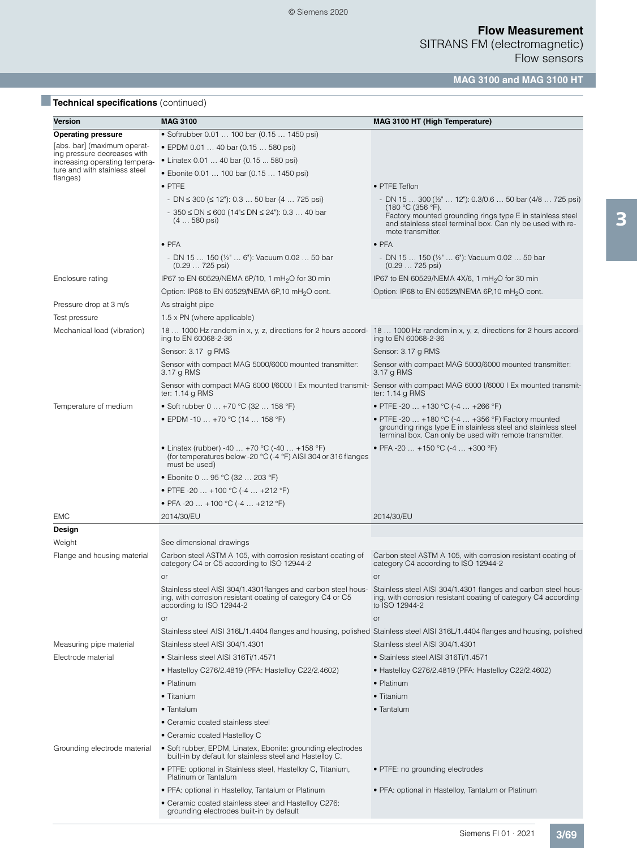## **MAG 3100 and MAG 3100 HT**

# **Technical specifications** (continued)

| Version                                                      | <b>MAG 3100</b>                                                                                                                  | <b>MAG 3100 HT (High Temperature)</b>                                                                                                                                                                            |
|--------------------------------------------------------------|----------------------------------------------------------------------------------------------------------------------------------|------------------------------------------------------------------------------------------------------------------------------------------------------------------------------------------------------------------|
| <b>Operating pressure</b>                                    | • Softrubber 0.01  100 bar (0.15  1450 psi)                                                                                      |                                                                                                                                                                                                                  |
| [abs. bar] (maximum operat-                                  | • EPDM 0.01  40 bar (0.15  580 psi)                                                                                              |                                                                                                                                                                                                                  |
| ing pressure decreases with<br>increasing operating tempera- | • Linatex 0.01  40 bar (0.15  580 psi)                                                                                           |                                                                                                                                                                                                                  |
| ture and with stainless steel<br>flanges)                    | • Ebonite 0.01  100 bar (0.15  1450 psi)                                                                                         |                                                                                                                                                                                                                  |
|                                                              | $\bullet$ PTFE                                                                                                                   | • PTFE Teflon                                                                                                                                                                                                    |
|                                                              | - DN $\leq$ 300 ( $\leq$ 12"): 0.3  50 bar (4  725 psi)                                                                          | - DN 15  300 (½"  12"): 0.3/0.6  50 bar (4/8  725 psi)                                                                                                                                                           |
|                                                              | - 350 ≤ DN ≤ 600 (14"≤ DN ≤ 24"): 0.3  40 bar<br>$(4580 \text{ psi})$                                                            | (180 °C (356 °F).<br>Factory mounted grounding rings type E in stainless steel<br>and stainless steel terminal box. Can nly be used with re-<br>mote transmitter.                                                |
|                                                              | $\bullet$ PFA                                                                                                                    | $\bullet$ PFA                                                                                                                                                                                                    |
|                                                              | - DN 15  150 (1/2"  6"): Vacuum 0.02  50 bar<br>$(0.29 725 \text{ psi})$                                                         | - DN 15  150 ( $\frac{1}{2}$ "  6"): Vacuum 0.02  50 bar<br>$(0.29 725 \text{ psi})$                                                                                                                             |
| Enclosure rating                                             | IP67 to EN 60529/NEMA 6P/10, 1 mH <sub>2</sub> O for 30 min                                                                      | IP67 to EN 60529/NEMA 4X/6, 1 mH <sub>2</sub> O for 30 min                                                                                                                                                       |
|                                                              | Option: IP68 to EN 60529/NEMA 6P, 10 mH <sub>2</sub> O cont.                                                                     | Option: IP68 to EN 60529/NEMA 6P,10 mH <sub>2</sub> O cont.                                                                                                                                                      |
| Pressure drop at 3 m/s                                       | As straight pipe                                                                                                                 |                                                                                                                                                                                                                  |
| Test pressure                                                | $1.5 \times PN$ (where applicable)                                                                                               |                                                                                                                                                                                                                  |
| Mechanical load (vibration)                                  | ing to EN 60068-2-36                                                                                                             | 18 1000 Hz random in x, y, z, directions for 2 hours accord- 18 1000 Hz random in x, y, z, directions for 2 hours accord-<br>ing to EN 60068-2-36                                                                |
|                                                              | Sensor: 3.17 g RMS                                                                                                               | Sensor: 3.17 g RMS                                                                                                                                                                                               |
|                                                              | Sensor with compact MAG 5000/6000 mounted transmitter:<br>3.17 g RMS                                                             | Sensor with compact MAG 5000/6000 mounted transmitter:<br>3.17 g RMS                                                                                                                                             |
|                                                              | ter: $1.14$ g RMS                                                                                                                | Sensor with compact MAG 6000 I/6000 I Ex mounted transmit- Sensor with compact MAG 6000 I/6000 I Ex mounted transmit-<br>ter: 1.14 g RMS                                                                         |
| Temperature of medium                                        | • Soft rubber 0  +70 °C (32  158 °F)                                                                                             | • PTFE -20 $\dots$ +130 °C (-4 $\dots$ +266 °F)                                                                                                                                                                  |
|                                                              | • EPDM -10  +70 °C (14  158 °F)                                                                                                  | • PTFE -20  +180 °C (-4  +356 °F) Factory mounted<br>grounding rings type E in stainless steel and stainless steel<br>terminal box. Can only be used with remote transmitter.                                    |
|                                                              | • Linatex (rubber) -40  +70 °C (-40  +158 °F)<br>(for temperatures below -20 °C (-4 °F) AISI 304 or 316 flanges<br>must be used) | • PFA -20  +150 °C (-4  +300 °F)                                                                                                                                                                                 |
|                                                              | • Ebonite 0  95 °C (32  203 °F)                                                                                                  |                                                                                                                                                                                                                  |
|                                                              | • PTFE -20  +100 °C (-4  +212 °F)                                                                                                |                                                                                                                                                                                                                  |
|                                                              | • PFA -20  +100 °C (-4  +212 °F)                                                                                                 |                                                                                                                                                                                                                  |
| <b>EMC</b>                                                   | 2014/30/EU                                                                                                                       | 2014/30/EU                                                                                                                                                                                                       |
| Design                                                       |                                                                                                                                  |                                                                                                                                                                                                                  |
| Weight                                                       | See dimensional drawings                                                                                                         |                                                                                                                                                                                                                  |
| Flange and housing material                                  | Carbon steel ASTM A 105, with corrosion resistant coating of<br>category C4 or C5 according to ISO 12944-2                       | Carbon steel ASTM A 105, with corrosion resistant coating of<br>category C4 according to ISO 12944-2                                                                                                             |
|                                                              | or                                                                                                                               | or                                                                                                                                                                                                               |
|                                                              | ing, with corrosion resistant coating of category C4 or C5<br>according to ISO 12944-2                                           | Stainless steel AISI 304/1.4301flanges and carbon steel hous- Stainless steel AISI 304/1.4301 flanges and carbon steel hous-<br>ing, with corrosion resistant coating of category C4 according<br>to ISO 12944-2 |
|                                                              | or                                                                                                                               | <b>or</b>                                                                                                                                                                                                        |
|                                                              |                                                                                                                                  | Stainless steel AISI 316L/1.4404 flanges and housing, polished Stainless steel AISI 316L/1.4404 flanges and housing, polished                                                                                    |
| Measuring pipe material                                      | Stainless steel AISI 304/1.4301                                                                                                  | Stainless steel AISI 304/1.4301                                                                                                                                                                                  |
| Electrode material                                           | • Stainless steel AISI 316Ti/1.4571                                                                                              | • Stainless steel AISI 316Ti/1.4571                                                                                                                                                                              |
|                                                              | • Hastelloy C276/2.4819 (PFA: Hastelloy C22/2.4602)                                                                              | • Hastelloy C276/2.4819 (PFA: Hastelloy C22/2.4602)                                                                                                                                                              |
|                                                              | • Platinum                                                                                                                       | • Platinum                                                                                                                                                                                                       |
|                                                              | • Titanium                                                                                                                       | • Titanium                                                                                                                                                                                                       |
|                                                              | • Tantalum                                                                                                                       | • Tantalum                                                                                                                                                                                                       |
|                                                              | • Ceramic coated stainless steel                                                                                                 |                                                                                                                                                                                                                  |
|                                                              | • Ceramic coated Hastelloy C                                                                                                     |                                                                                                                                                                                                                  |
| Grounding electrode material                                 | • Soft rubber, EPDM, Linatex, Ebonite: grounding electrodes<br>built-in by default for stainless steel and Hastelloy C.          |                                                                                                                                                                                                                  |
|                                                              | • PTFE: optional in Stainless steel, Hastelloy C, Titanium,<br>Platinum or Tantalum                                              | • PTFE: no grounding electrodes                                                                                                                                                                                  |
|                                                              | • PFA: optional in Hastelloy, Tantalum or Platinum                                                                               | • PFA: optional in Hastelloy, Tantalum or Platinum                                                                                                                                                               |
|                                                              | • Ceramic coated stainless steel and Hastelloy C276:<br>grounding electrodes built-in by default                                 |                                                                                                                                                                                                                  |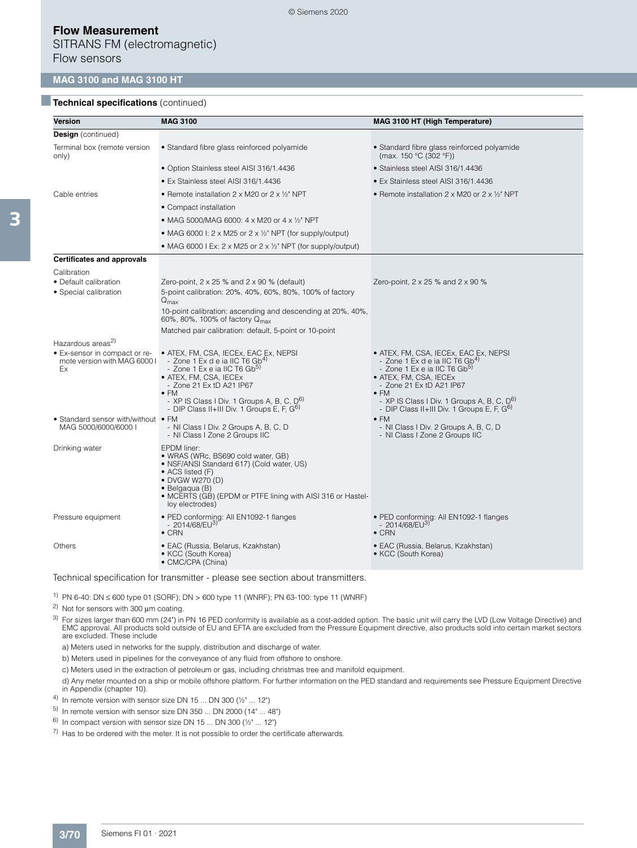SITRANS FM (electromagnetic) Flow sensors

### **MAG 3100 and MAG 3100 HT**

### **Technical specifications** (continued)

3

| <b>Version</b>                                                      | <b>MAG 3100</b>                                                                                                                                                                                                                                                 | <b>MAG 3100 HT (High Temperature)</b>                                                                                                                                                                                                                |
|---------------------------------------------------------------------|-----------------------------------------------------------------------------------------------------------------------------------------------------------------------------------------------------------------------------------------------------------------|------------------------------------------------------------------------------------------------------------------------------------------------------------------------------------------------------------------------------------------------------|
| <b>Design</b> (continued)                                           |                                                                                                                                                                                                                                                                 |                                                                                                                                                                                                                                                      |
| Terminal box (remote version<br>only)                               | • Standard fibre glass reinforced polyamide                                                                                                                                                                                                                     | • Standard fibre glass reinforced polyamide<br>(max. 150 °C (302 °F))                                                                                                                                                                                |
|                                                                     | • Option Stainless steel AISI 316/1.4436                                                                                                                                                                                                                        | · Stainless steel AISI 316/1.4436                                                                                                                                                                                                                    |
|                                                                     | • Ex Stainless steel AISI 316/1.4436                                                                                                                                                                                                                            | • Ex Stainless steel AISI 316/1.4436                                                                                                                                                                                                                 |
| Cable entries                                                       | • Remote installation 2 x M20 or 2 x $\frac{1}{2}$ NPT                                                                                                                                                                                                          | • Remote installation $2 \times M20$ or $2 \times 1/2$ " NPT                                                                                                                                                                                         |
|                                                                     | • Compact installation                                                                                                                                                                                                                                          |                                                                                                                                                                                                                                                      |
|                                                                     | • MAG 5000/MAG 6000: 4 x M20 or 4 x 1/2" NPT                                                                                                                                                                                                                    |                                                                                                                                                                                                                                                      |
|                                                                     | • MAG 6000 I: 2 x M25 or 2 x $\frac{1}{2}$ " NPT (for supply/output)                                                                                                                                                                                            |                                                                                                                                                                                                                                                      |
|                                                                     | • MAG 6000 I Ex: 2 x M25 or 2 x $\frac{1}{2}$ NPT (for supply/output)                                                                                                                                                                                           |                                                                                                                                                                                                                                                      |
| <b>Certificates and approvals</b>                                   |                                                                                                                                                                                                                                                                 |                                                                                                                                                                                                                                                      |
| Calibration                                                         |                                                                                                                                                                                                                                                                 |                                                                                                                                                                                                                                                      |
| • Default calibration<br>• Special calibration                      | Zero-point, $2 \times 25$ % and $2 \times 90$ % (default)<br>5-point calibration: 20%, 40%, 60%, 80%, 100% of factory<br>$Q_{\text{max}}$                                                                                                                       | Zero-point, $2 \times 25$ % and $2 \times 90$ %                                                                                                                                                                                                      |
|                                                                     | 10-point calibration: ascending and descending at 20%, 40%,<br>60%, 80%, 100% of factory Q <sub>max</sub>                                                                                                                                                       |                                                                                                                                                                                                                                                      |
|                                                                     | Matched pair calibration: default, 5-point or 10-point                                                                                                                                                                                                          |                                                                                                                                                                                                                                                      |
| Hazardous areas <sup>2)</sup>                                       |                                                                                                                                                                                                                                                                 |                                                                                                                                                                                                                                                      |
| • Ex-sensor in compact or re-<br>mote version with MAG 6000 I<br>Ex | • ATEX, FM, CSA, IECEx, EAC Ex, NEPSI<br>- Zone 1 Ex d e ia IIC T6 Gb <sup>4)</sup><br>- Zone 1 Ex e ia IIC T6 Gb <sup>5)</sup><br>• ATEX, FM, CSA, IECEx<br>- Zone 21 Ex tD A21 IP67<br>$\bullet$ FM<br>- XP IS Class I Div. 1 Groups A, B, C, D <sup>6)</sup> | • ATEX, FM, CSA, IECEx, EAC Ex, NEPSI<br>- Zone 1 Ex d e ia IIC T6 $Gb4$<br>- Zone 1 Ex e ia IIC T6 Gb <sup>5)</sup><br>• ATEX, FM, CSA, IECEx<br>- Zone 21 Ex tD A21 IP67<br>$\bullet$ FM<br>- XP IS Class I Div. 1 Groups A, B, C, D <sup>6)</sup> |
|                                                                     | - DIP Class II+III Div. 1 Groups E, F, $G6$                                                                                                                                                                                                                     | - DIP Class II+III Div. 1 Groups E, F, $G6$                                                                                                                                                                                                          |
| • Standard sensor with/without • FM<br>MAG 5000/6000/6000 I         | - NI Class I Div. 2 Groups A, B, C, D<br>- NI Class I Zone 2 Groups IIC                                                                                                                                                                                         | $\bullet$ FM<br>- NI Class I Div. 2 Groups A, B, C, D<br>- NI Class I Zone 2 Groups IIC                                                                                                                                                              |
| Drinking water                                                      | EPDM liner:<br>• WRAS (WRc, BS690 cold water, GB)<br>• NSF/ANSI Standard 617) (Cold water, US)<br>• ACS listed (F)<br>• DVGW W270 (D)<br>• Belgagua (B)<br>• MCERTS (GB) (EPDM or PTFE lining with AISI 316 or Hastel-<br>loy electrodes)                       |                                                                                                                                                                                                                                                      |
| Pressure equipment                                                  | • PED conforming: All EN1092-1 flanges<br>- 2014/68/EU <sup>3)</sup><br>$\bullet$ CRN                                                                                                                                                                           | · PED conforming: All EN1092-1 flanges<br>- 2014/68/EU <sup>3)</sup><br>$\bullet$ CRN                                                                                                                                                                |
| Others                                                              | • EAC (Russia, Belarus, Kzakhstan)<br>• KCC (South Korea)<br>• CMC/CPA (China)                                                                                                                                                                                  | • EAC (Russia, Belarus, Kzakhstan)<br>• KCC (South Korea)                                                                                                                                                                                            |
|                                                                     |                                                                                                                                                                                                                                                                 |                                                                                                                                                                                                                                                      |

© Siemens 2020

Technical specification for transmitter - please see section about transmitters.

1) PN 6-40: DN ≤ 600 type 01 (SORF); DN > 600 type 11 (WNRF); PN 63-100: type 11 (WNRF)

2) Not for sensors with 300 μm coating.

<sup>3)</sup> For sizes larger than 600 mm (24") in PN 16 PED conformity is available as a cost-added option. The basic unit will carry the LVD (Low Voltage Directive) and<br>EMC approval. All products sold outside of EU and EFTA are are excluded. These include

- a) Meters used in networks for the supply, distribution and discharge of water.
- b) Meters used in pipelines for the conveyance of any fluid from offshore to onshore.
- c) Meters used in the extraction of petroleum or gas, including christmas tree and manifold equipment.

d) Any meter mounted on a ship or mobile offshore platform. For further information on the PED standard and requirements see Pressure Equipment Directive in Appendix (chapter 10).

- $4)$  In remote version with sensor size DN 15 ... DN 300 ( $\frac{1}{2}$ " ... 12")
- $^{5)}$  In remote version with sensor size DN 350 ... DN 2000 (14" ... 48")
- $6)$  In compact version with sensor size DN 15 ... DN 300 ( $\frac{1}{2}$ " ... 12")
- $7)$  Has to be ordered with the meter. It is not possible to order the certificate afterwards.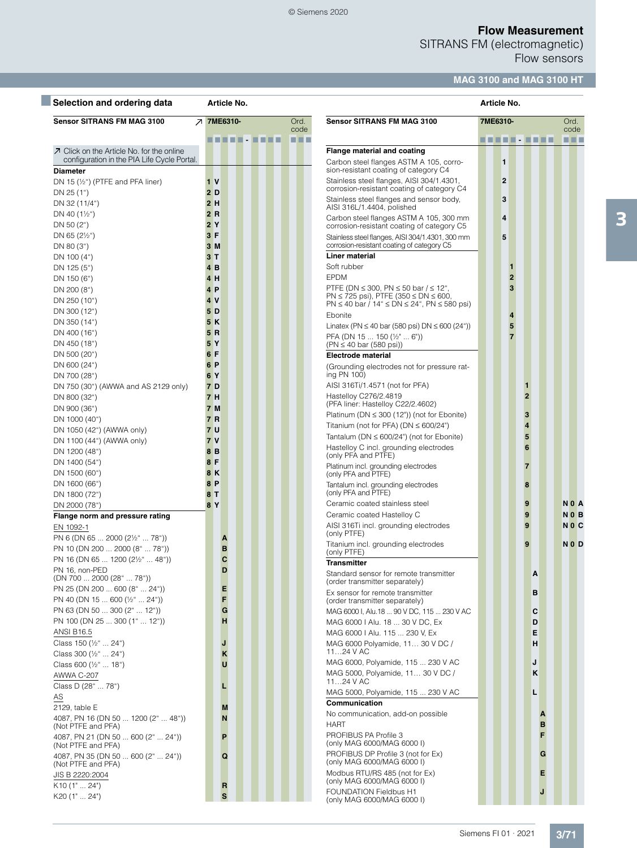SITRANS FM (electromagnetic) Flow sensors

© Siemens 2020

## **MAG 3100 and MAG 3100 HT**

| Selection and ordering data                                      | Article No.       |             |                                                                                                                        | Article No. |                |
|------------------------------------------------------------------|-------------------|-------------|------------------------------------------------------------------------------------------------------------------------|-------------|----------------|
| <b>Sensor SITRANS FM MAG 3100</b>                                | <b>7 7ME6310-</b> | Ord.        | <b>Sensor SITRANS FM MAG 3100</b>                                                                                      | 7ME6310-    |                |
|                                                                  | .                 | code<br>n n |                                                                                                                        | 88 E B      |                |
| $\overline{\mathcal{A}}$ Click on the Article No. for the online |                   |             | Flange material and coating                                                                                            |             |                |
| configuration in the PIA Life Cycle Portal.                      |                   |             | Carbon steel flanges ASTM A 105, corro-                                                                                |             | 1              |
| <b>Diameter</b>                                                  |                   |             | sion-resistant coating of category C4                                                                                  |             |                |
| DN 15 (1/2") (PTFE and PFA liner)                                | 1 <sub>V</sub>    |             | Stainless steel flanges, AISI 304/1.4301,                                                                              |             | $\overline{2}$ |
| DN 25 (1")                                                       | 2D                |             | corrosion-resistant coating of category C4<br>Stainless steel flanges and sensor body,                                 |             | 3              |
| DN 32 (11/4")                                                    | 2H                |             | AISI 316L/1.4404, polished                                                                                             |             |                |
| DN 40 $(1\frac{1}{2})$                                           | 2R                |             | Carbon steel flanges ASTM A 105, 300 mm                                                                                |             | 4              |
| DN 50 (2")                                                       | 2Y<br>3F          |             | corrosion-resistant coating of category C5                                                                             |             |                |
| DN 65 $(2\frac{1}{2})$<br>DN 80 (3")                             | 3M                |             | Stainless steel flanges, AISI 304/1.4301, 300 mm<br>corrosion-resistant coating of category C5                         |             | 5              |
| DN 100 (4")                                                      | 3T                |             | <b>Liner material</b>                                                                                                  |             |                |
| DN 125 (5")                                                      | 4B                |             | Soft rubber                                                                                                            |             | 1              |
| DN 150 (6")                                                      | 4 H               |             | <b>EPDM</b>                                                                                                            |             | $\mathbf{2}$   |
| DN 200 (8")                                                      | 4 P               |             | PTFE (DN ≤ 300, PN ≤ 50 bar / ≤ 12",                                                                                   |             | 3              |
| DN 250 (10")                                                     | 4V                |             | PN $\leq$ 725 psi), PTFE (350 $\leq$ DN $\leq$ 600,<br>PN $\leq$ 40 bar / 14" $\leq$ DN $\leq$ 24", PN $\leq$ 580 psi) |             |                |
| DN 300 (12")                                                     | 5 D               |             | Ebonite                                                                                                                |             | 4              |
| DN 350 (14")                                                     | 5K                |             | Linatex (PN ≤ 40 bar (580 psi) DN ≤ 600 (24"))                                                                         |             | 5              |
| DN 400 (16")                                                     | 5R                |             | PFA (DN 15  150 (1/2"  6"))                                                                                            |             | $\overline{7}$ |
| DN 450 (18")<br>DN 500 (20")                                     | 5Y<br>6 F         |             | (PN ≤ 40 bar (580 psi))                                                                                                |             |                |
| DN 600 (24")                                                     | 6 P               |             | <b>Electrode material</b><br>(Grounding electrodes not for pressure rat-                                               |             |                |
| DN 700 (28")                                                     | 6Y                |             | ing PN 100)                                                                                                            |             |                |
| DN 750 (30") (AWWA and AS 2129 only)                             | 7 D               |             | AISI 316Ti/1.4571 (not for PFA)                                                                                        |             |                |
| DN 800 (32")                                                     | 7 H               |             | Hastelloy C276/2.4819                                                                                                  |             |                |
| DN 900 (36")                                                     | <b>7 M</b>        |             | (PFA liner: Hastelloy C22/2.4602)<br>Platinum ( $DN \leq 300$ (12")) (not for Ebonite)                                 |             |                |
| DN 1000 (40")                                                    | 7R                |             | Titanium (not for PFA) (DN $\leq$ 600/24")                                                                             |             |                |
| DN 1050 (42") (AWWA only)                                        | 7 U               |             | Tantalum ( $DN \leq 600/24$ ") (not for Ebonite)                                                                       |             |                |
| DN 1100 (44") (AWWA only)                                        | 7V<br>8B          |             | Hastelloy C incl. grounding electrodes                                                                                 |             |                |
| DN 1200 (48")<br>DN 1400 (54")                                   | 8 F               |             | (only PFA and PTFE)                                                                                                    |             |                |
| DN 1500 (60")                                                    | 8K                |             | Platinum incl. grounding electrodes<br>(only PFA and PTFE)                                                             |             |                |
| DN 1600 (66")                                                    | 8P                |             | Tantalum incl. grounding electrodes                                                                                    |             |                |
| DN 1800 (72")                                                    | 8T                |             | (only PFA and PTFE)                                                                                                    |             |                |
| DN 2000 (78")                                                    | 8Y                |             | Ceramic coated stainless steel                                                                                         |             |                |
| Flange norm and pressure rating                                  |                   |             | Ceramic coated Hastelloy C                                                                                             |             |                |
| EN 1092-1                                                        |                   |             | AISI 316Ti incl. grounding electrodes<br>(only PTFE)                                                                   |             |                |
| PN 6 (DN 65  2000 (2½"  78"))<br>PN 10 (DN 200  2000 (8"  78"))  | A<br>в            |             | Titanium incl. grounding electrodes                                                                                    |             |                |
| PN 16 (DN 65  1200 (21/2"  48"))                                 | С                 |             | (only PTFE)                                                                                                            |             |                |
| PN 16, non-PED                                                   | D                 |             | <b>Transmitter</b>                                                                                                     |             |                |
| (DN 700  2000 (28"  78"))                                        |                   |             | Standard sensor for remote transmitter<br>(order transmitter separately)                                               |             |                |
| PN 25 (DN 200  600 (8"  24"))                                    | Е                 |             | Ex sensor for remote transmitter                                                                                       |             |                |
| PN 40 (DN 15  600 (1/2"  24"))<br>PN 63 (DN 50  300 (2"  12"))   | F<br>G            |             | (order transmitter separately)                                                                                         |             |                |
| PN 100 (DN 25  300 (1"  12"))                                    | н                 |             | MAG 6000 I, Alu.18  90 V DC, 115  230 V AC<br>MAG 6000   Alu. 18  30 V DC, Ex                                          |             |                |
| ANSI B16.5                                                       |                   |             | MAG 6000   Alu. 115  230 V, Ex                                                                                         |             |                |
| Class 150 (1/2"  24")                                            | J                 |             | MAG 6000 Polyamide, 11 30 V DC /                                                                                       |             |                |
| Class 300 (1/2"  24")                                            | Κ                 |             | 1124 V AC                                                                                                              |             |                |
| Class 600 (1/2"  18")                                            | U                 |             | MAG 6000, Polyamide, 115  230 V AC                                                                                     |             |                |
| AWWA C-207                                                       |                   |             | MAG 5000, Polyamide, 11 30 V DC /<br>1124 V AC                                                                         |             |                |
| Class D (28"  78")                                               | L                 |             | MAG 5000, Polyamide, 115  230 V AC                                                                                     |             |                |
| AS<br>2129, table E                                              | M                 |             | Communication                                                                                                          |             |                |
| 4087, PN 16 (DN 50  1200 (2"  48"))                              | N                 |             | No communication, add-on possible                                                                                      |             |                |
| (Not PTFE and PFA)                                               |                   |             | <b>HART</b>                                                                                                            |             |                |
| 4087, PN 21 (DN 50  600 (2"  24"))                               | P                 |             | PROFIBUS PA Profile 3                                                                                                  |             |                |
| (Not PTFE and PFA)                                               |                   |             | (only MAG 6000/MAG 6000 I)<br>PROFIBUS DP Profile 3 (not for Ex)                                                       |             |                |
| 4087, PN 35 (DN 50  600 (2"  24"))<br>(Not PTFE and PFA)         | Q                 |             | (only MAG 6000/MAG 6000 I)                                                                                             |             |                |
| JIS B 2220:2004                                                  |                   |             | Modbus RTU/RS 485 (not for Ex)                                                                                         |             |                |
| K10(1" 24")                                                      | R                 |             | (only MAG 6000/MAG 6000 I)<br><b>FOUNDATION Fieldbus H1</b>                                                            |             |                |
| K20 (1"  24")                                                    | s                 |             | (only MAG 6000/MAG 6000 I)                                                                                             |             |                |

| <b>Sensor SITRANS FM MAG 3100</b>                                                                                                                           | 7ME6310-   |  |  |                |                |                |   |        |  | Ord.<br>code |      |  |  |
|-------------------------------------------------------------------------------------------------------------------------------------------------------------|------------|--|--|----------------|----------------|----------------|---|--------|--|--------------|------|--|--|
|                                                                                                                                                             | ---------- |  |  |                |                |                |   |        |  |              | . .  |  |  |
| <b>Flange material and coating</b>                                                                                                                          |            |  |  |                |                |                |   |        |  |              |      |  |  |
| Carbon steel flanges ASTM A 105, corro-                                                                                                                     |            |  |  | 1              |                |                |   |        |  |              |      |  |  |
| sion-resistant coating of category C4                                                                                                                       |            |  |  |                |                |                |   |        |  |              |      |  |  |
| Stainless steel flanges, AISI 304/1.4301,<br>corrosion-resistant coating of category C4                                                                     |            |  |  | $\overline{2}$ |                |                |   |        |  |              |      |  |  |
| Stainless steel flanges and sensor body,<br>AISI 316L/1.4404, polished                                                                                      |            |  |  | 3              |                |                |   |        |  |              |      |  |  |
| Carbon steel flanges ASTM A 105, 300 mm                                                                                                                     |            |  |  | 4              |                |                |   |        |  |              |      |  |  |
| corrosion-resistant coating of category C5<br>Stainless steel flanges, AISI 304/1.4301, 300 mm<br>corrosion-resistant coating of category C5                |            |  |  | 5              |                |                |   |        |  |              |      |  |  |
| Liner material                                                                                                                                              |            |  |  |                |                |                |   |        |  |              |      |  |  |
| Soft rubber                                                                                                                                                 |            |  |  |                | 1              |                |   |        |  |              |      |  |  |
| <b>EPDM</b>                                                                                                                                                 |            |  |  |                | $\overline{2}$ |                |   |        |  |              |      |  |  |
| PTFE (DN ≤ 300, PN ≤ 50 bar / ≤ 12",<br>$PN \le 725$ psi), PTFE (350 $\leq$ DN $\leq$ 600,<br>$PN \le 40$ bar / 14" $\leq DN \leq 24$ ", $PN \leq 580$ psi) |            |  |  |                | 3              |                |   |        |  |              |      |  |  |
| Ebonite                                                                                                                                                     |            |  |  |                | 4              |                |   |        |  |              |      |  |  |
| Linatex (PN ≤ 40 bar (580 psi) DN ≤ 600 (24"))                                                                                                              |            |  |  |                | 5              |                |   |        |  |              |      |  |  |
| PFA (DN 15  150 (½"  6"))<br>(PN ≤ 40 bar (580 psi))                                                                                                        |            |  |  |                | 7              |                |   |        |  |              |      |  |  |
| Electrode material                                                                                                                                          |            |  |  |                |                |                |   |        |  |              |      |  |  |
| (Grounding electrodes not for pressure rat-<br>ing PN 100)                                                                                                  |            |  |  |                |                |                |   |        |  |              |      |  |  |
| AISI 316Ti/1.4571 (not for PFA)                                                                                                                             |            |  |  |                |                | 1              |   |        |  |              |      |  |  |
| Hastelloy C276/2.4819<br>(PFA liner: Hastelloy C22/2.4602)                                                                                                  |            |  |  |                |                | $\overline{2}$ |   |        |  |              |      |  |  |
| Platinum (DN $\leq$ 300 (12")) (not for Ebonite)                                                                                                            |            |  |  |                |                | 3              |   |        |  |              |      |  |  |
| Titanium (not for PFA) (DN $\leq$ 600/24")                                                                                                                  |            |  |  |                |                | 4              |   |        |  |              |      |  |  |
| Tantalum ( $DN \leq 600/24$ ") (not for Ebonite)                                                                                                            |            |  |  |                |                | 5              |   |        |  |              |      |  |  |
| Hastelloy C incl. grounding electrodes<br>(only PFA and PTFE)                                                                                               |            |  |  |                |                | 6              |   |        |  |              |      |  |  |
| Platinum incl. grounding electrodes<br>(only PFA and PTFE)                                                                                                  |            |  |  |                |                | 7              |   |        |  |              |      |  |  |
| Tantalum incl. grounding electrodes<br>(only PFA and PTFE)                                                                                                  |            |  |  |                |                | 8              |   |        |  |              |      |  |  |
| Ceramic coated stainless steel                                                                                                                              |            |  |  |                |                | 9              |   |        |  |              | NO A |  |  |
| Ceramic coated Hastelloy C                                                                                                                                  |            |  |  |                |                | 9              |   |        |  |              | NOB  |  |  |
| AISI 316Ti incl. grounding electrodes<br>(only PTFE)                                                                                                        |            |  |  |                |                | 9              |   |        |  |              | NOC  |  |  |
| Titanium incl. grounding electrodes<br>(only PTFE)                                                                                                          |            |  |  |                |                | 9              |   |        |  |              | NOD  |  |  |
| <b>Transmitter</b>                                                                                                                                          |            |  |  |                |                |                |   |        |  |              |      |  |  |
| Standard sensor for remote transmitter<br>(order transmitter separately)                                                                                    |            |  |  |                |                |                | A |        |  |              |      |  |  |
| Ex sensor for remote transmitter<br>(order transmitter separately)                                                                                          |            |  |  |                |                |                | в |        |  |              |      |  |  |
| MAG 6000 I, Alu.18  90 V DC, 115  230 V AC                                                                                                                  |            |  |  |                |                |                | c |        |  |              |      |  |  |
| MAG 6000   Alu. 18  30 V DC, Ex                                                                                                                             |            |  |  |                |                |                | D |        |  |              |      |  |  |
| MAG 6000   Alu. 115  230 V, Ex                                                                                                                              |            |  |  |                |                |                | Е |        |  |              |      |  |  |
| MAG 6000 Polyamide, 11 30 V DC /<br>1124 V AC                                                                                                               |            |  |  |                |                |                | н |        |  |              |      |  |  |
| MAG 6000, Polyamide, 115  230 V AC                                                                                                                          |            |  |  |                |                |                | J |        |  |              |      |  |  |
| MAG 5000, Polyamide, 11 30 V DC /<br>1124 V AC                                                                                                              |            |  |  |                |                |                | κ |        |  |              |      |  |  |
| MAG 5000, Polyamide, 115  230 V AC                                                                                                                          |            |  |  |                |                |                | L |        |  |              |      |  |  |
| Communication                                                                                                                                               |            |  |  |                |                |                |   |        |  |              |      |  |  |
| No communication, add-on possible                                                                                                                           |            |  |  |                |                |                |   | Α      |  |              |      |  |  |
| HART                                                                                                                                                        |            |  |  |                |                |                |   | в<br>F |  |              |      |  |  |
| PROFIBUS PA Profile 3<br>(only MAG 6000/MAG 6000 I)                                                                                                         |            |  |  |                |                |                |   |        |  |              |      |  |  |
| PROFIBUS DP Profile 3 (not for Ex)<br>(only MAG 6000/MAG 6000 I)                                                                                            |            |  |  |                |                |                |   | G      |  |              |      |  |  |
| Modbus RTU/RS 485 (not for Ex)<br>(only MAG 6000/MAG 6000 l)                                                                                                |            |  |  |                |                |                |   | Е      |  |              |      |  |  |
| <b>FOUNDATION Fieldbus H1</b><br>(only MAG 6000/MAG 6000 l)                                                                                                 |            |  |  |                |                |                |   | J      |  |              |      |  |  |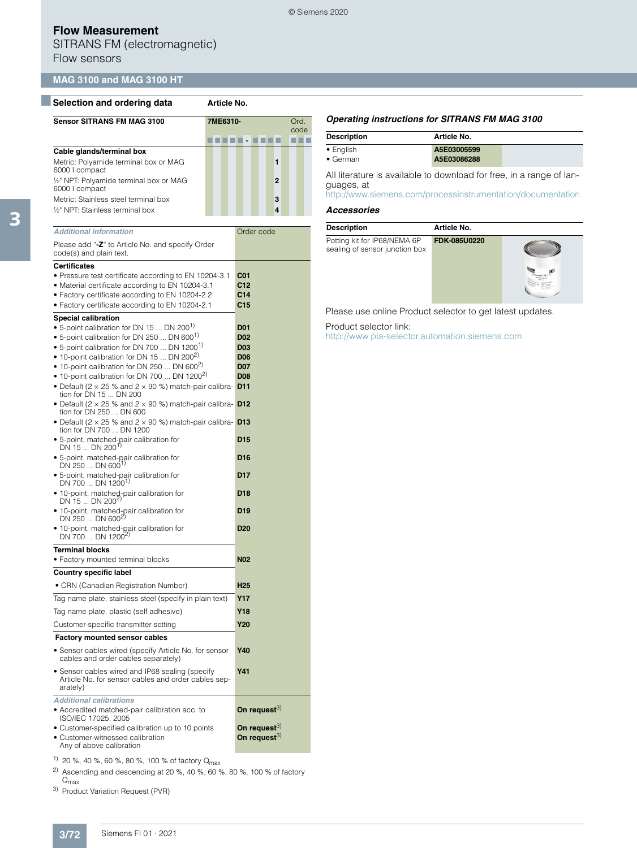SITRANS FM (electromagnetic) Flow sensors

## **MAG 3100 and MAG 3100 HT**

### ■**Selection and ordering data Article No.**



| <b>Additional information</b>                                                                                      | Order code                               |
|--------------------------------------------------------------------------------------------------------------------|------------------------------------------|
| Please add "-Z" to Article No. and specify Order<br>code(s) and plain text.                                        |                                          |
| <b>Certificates</b>                                                                                                |                                          |
| • Pressure test certificate according to EN 10204-3.1                                                              | C <sub>01</sub>                          |
| • Material certificate according to EN 10204-3.1<br>• Factory certificate according to EN 10204-2.2                | C12<br>C <sub>14</sub>                   |
| • Factory certificate according to EN 10204-2.1                                                                    | C15                                      |
|                                                                                                                    |                                          |
| <b>Special calibration</b><br>• 5-point calibration for DN 15  DN 200 <sup>1)</sup>                                |                                          |
| • 5-point calibration for DN 250  DN 600 <sup>1)</sup>                                                             | <b>D01</b><br><b>D02</b>                 |
| • 5-point calibration for DN 700  DN 1200 <sup>1)</sup>                                                            | D <sub>03</sub>                          |
| • 10-point calibration for DN 15  DN 200 <sup>2)</sup>                                                             | D <sub>06</sub>                          |
| • 10-point calibration for DN 250  DN 600 <sup>2)</sup>                                                            | <b>D07</b>                               |
| • 10-point calibration for DN 700  DN 1200 <sup>2)</sup>                                                           | <b>D08</b>                               |
| • Default ( $2 \times 25$ % and $2 \times 90$ %) match-pair calibra-<br>tion for DN 15  DN 200                     | D11                                      |
| • Default ( $2 \times 25$ % and $2 \times 90$ %) match-pair calibra-<br>tion for DN 250  DN 600                    | D <sub>12</sub>                          |
| • Default ( $2 \times 25$ % and $2 \times 90$ %) match-pair calibra-<br>tion for DN 700  DN 1200                   | D <sub>13</sub>                          |
| • 5-point, matched-pair calibration for<br>DN 15  DN 200 <sup>1)</sup>                                             | D <sub>15</sub>                          |
| • 5-point, matched-pair calibration for<br>DN 250  DN 600 <sup>1)</sup>                                            | D <sub>16</sub>                          |
| · 5-point, matched-pair calibration for<br>DN 700  DN 1200 <sup>1)</sup>                                           | <b>D17</b>                               |
| • 10-point, matched-pair calibration for<br>DN 15  DN 200 <sup>2</sup> )                                           | D <sub>18</sub>                          |
| • 10-point, matched-pair calibration for<br>DN 250  DN $600^{2}$                                                   | D19                                      |
| • 10-point, matched-pair calibration for<br>DN 700  DN 1200 <sup>2)</sup>                                          | D <sub>20</sub>                          |
| <b>Terminal blocks</b>                                                                                             |                                          |
| • Factory mounted terminal blocks                                                                                  | <b>N02</b>                               |
| <b>Country specific label</b>                                                                                      |                                          |
| • CRN (Canadian Registration Number)                                                                               | H <sub>25</sub>                          |
| Tag name plate, stainless steel (specify in plain text)                                                            | Y17                                      |
| Tag name plate, plastic (self adhesive)                                                                            | <b>Y18</b>                               |
| Customer-specific transmitter setting                                                                              | <b>Y20</b>                               |
| <b>Factory mounted sensor cables</b>                                                                               |                                          |
| • Sensor cables wired (specify Article No. for sensor<br>cables and order cables separately)                       | Y40                                      |
| • Sensor cables wired and IP68 sealing (specify<br>Article No. for sensor cables and order cables sep-<br>arately) | Y41                                      |
| <b>Additional calibrations</b>                                                                                     |                                          |
| • Accredited matched-pair calibration acc. to<br>ISO/IEC 17025: 2005                                               | On request $^{3)}$                       |
| • Customer-specified calibration up to 10 points<br>• Customer-witnessed calibration<br>Any of above calibration   | On request $^{3)}$<br>On request $^{3)}$ |
| <sup>1)</sup> 20 %, 40 %, 60 %, 80 %, 100 % of factory $Q_{max}$                                                   |                                          |

<sup>2)</sup> Ascending and descending at 20 %, 40 %, 60 %, 80 %, 100 % of factory

### *Operating instructions for SITRANS FM MAG 3100*

| <b>Description</b> | Article No. |  |
|--------------------|-------------|--|
| • English          | A5E03005599 |  |
| $\bullet$ German   | A5E03086288 |  |

All literature is available to download for free, in a range of languages, at

<http://www.siemens.com/processinstrumentation/documentation>

#### *Accessories*

| <b>Description</b>                                             | Article No.  |  |
|----------------------------------------------------------------|--------------|--|
| Potting kit for IP68/NEMA 6P<br>sealing of sensor junction box | FDK-085U0220 |  |

Please use online Product selector to get latest updates.

#### Product selector link:

<http://www.pia-selector.automation.siemens.com>

3) Product Variation Request (PVR)

 $Q_{\text{max}}$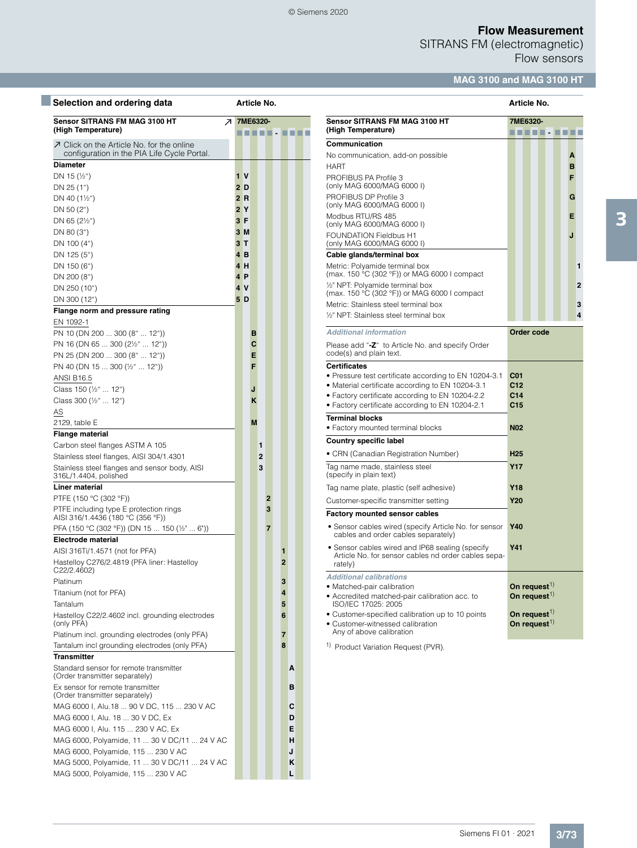SITRANS FM (electromagnetic) Flow sensors

## **MAG 3100 and MAG 3100 HT**

| Selection and ordering data                                              |                | Article No. |                |                |   |  |                                                                                                           |                        |  |
|--------------------------------------------------------------------------|----------------|-------------|----------------|----------------|---|--|-----------------------------------------------------------------------------------------------------------|------------------------|--|
| <b>Sensor SITRANS FM MAG 3100 HT</b><br>↗<br>(High Temperature)          | 7ME6320-       |             |                |                |   |  | <b>Sensor SITRANS FM MAG 3100 HT</b><br>(High Temperature)                                                | 7ME6320-               |  |
| 7 Click on the Article No. for the online                                |                |             |                |                |   |  | Communication                                                                                             |                        |  |
| configuration in the PIA Life Cycle Portal.                              |                |             |                |                |   |  | No communication, add-on possible                                                                         |                        |  |
| <b>Diameter</b>                                                          |                |             |                |                |   |  | <b>HART</b>                                                                                               |                        |  |
| DN 15 $(\frac{1}{2})$                                                    | 1 <sub>v</sub> |             |                |                |   |  | PROFIBUS PA Profile 3                                                                                     |                        |  |
| DN 25 (1")                                                               | 2D             |             |                |                |   |  | (only MAG 6000/MAG 6000 I)                                                                                |                        |  |
| DN 40 $(1\frac{1}{2})$                                                   | 2R             |             |                |                |   |  | PROFIBUS DP Profile 3<br>(only MAG 6000/MAG 6000 I)                                                       |                        |  |
| DN 50 $(2n)$                                                             | 2Y             |             |                |                |   |  | Modbus RTU/RS 485                                                                                         |                        |  |
| DN 65 (21/2")                                                            | 3F             |             |                |                |   |  | (only MAG 6000/MAG 6000 I)                                                                                |                        |  |
| DN 80 (3")                                                               | 3M             |             |                |                |   |  | <b>FOUNDATION Fieldbus H1</b>                                                                             |                        |  |
| DN 100 $(4n)$                                                            | 3T             |             |                |                |   |  | (only MAG 6000/MAG 6000 l)                                                                                |                        |  |
| DN 125 (5")                                                              | 4B             |             |                |                |   |  | Cable glands/terminal box                                                                                 |                        |  |
| DN 150 (6")                                                              | 4 H            |             |                |                |   |  | Metric: Polyamide terminal box                                                                            |                        |  |
| DN 200 (8")                                                              | 4 <sub>P</sub> |             |                |                |   |  | (max. 150 °C (302 °F)) or MAG 6000 I compact                                                              |                        |  |
| DN 250 (10")                                                             | 4V             |             |                |                |   |  | 1/2" NPT: Polyamide terminal box<br>(max. 150 °C (302 °F)) or MAG 6000 I compact                          |                        |  |
| DN 300 (12")                                                             | 5D             |             |                |                |   |  | Metric: Stainless steel terminal box                                                                      |                        |  |
| Flange norm and pressure rating                                          |                |             |                |                |   |  | 1/ <sub>2</sub> " NPT: Stainless steel terminal box                                                       |                        |  |
| EN 1092-1                                                                |                |             |                |                |   |  |                                                                                                           |                        |  |
| PN 10 (DN 200  300 (8"  12"))                                            |                | в           |                |                |   |  | <b>Additional information</b>                                                                             | Order code             |  |
| PN 16 (DN 65  300 (21/2"  12"))                                          |                | C           |                |                |   |  | Please add "-Z" to Article No. and specify Order<br>code(s) and plain text.                               |                        |  |
| PN 25 (DN 200  300 (8"  12"))                                            |                | E           |                |                |   |  |                                                                                                           |                        |  |
| PN 40 (DN 15  300 (1/2"  12"))                                           |                | F           |                |                |   |  | <b>Certificates</b>                                                                                       |                        |  |
| ANSI B16.5                                                               |                |             |                |                |   |  | · Pressure test certificate according to EN 10204-3.1<br>• Material certificate according to EN 10204-3.1 | C <sub>01</sub><br>C12 |  |
| Class 150 (1/2"  12")                                                    |                | J           |                |                |   |  | • Factory certificate according to EN 10204-2.2                                                           | C <sub>14</sub>        |  |
| Class 300 (1/2"  12")                                                    |                | ĸ           |                |                |   |  | . Factory certificate according to EN 10204-2.1                                                           | C15                    |  |
| AS                                                                       |                |             |                |                |   |  | <b>Terminal blocks</b>                                                                                    |                        |  |
| 2129, table E                                                            |                | M           |                |                |   |  | • Factory mounted terminal blocks                                                                         | <b>N02</b>             |  |
| <b>Flange material</b>                                                   |                |             |                |                |   |  | <b>Country specific label</b>                                                                             |                        |  |
| Carbon steel flanges ASTM A 105                                          |                |             | 1              |                |   |  | • CRN (Canadian Registration Number)                                                                      | H <sub>25</sub>        |  |
| Stainless steel flanges, AISI 304/1.4301                                 |                |             | $\overline{2}$ |                |   |  |                                                                                                           |                        |  |
| Stainless steel flanges and sensor body, AISI<br>316L/1.4404, polished   |                |             | 3              |                |   |  | Tag name made, stainless steel<br>(specify in plain text)                                                 | <b>Y17</b>             |  |
| Liner material                                                           |                |             |                |                |   |  | Tag name plate, plastic (self adhesive)                                                                   | Y18                    |  |
| PTFE (150 °C (302 °F))                                                   |                |             | $\overline{2}$ |                |   |  | Customer-specific transmitter setting                                                                     | Y <sub>20</sub>        |  |
| PTFE including type E protection rings                                   |                |             | 3              |                |   |  |                                                                                                           |                        |  |
| AISI 316/1.4436 (180 °C (356 °F))                                        |                |             |                |                |   |  | <b>Factory mounted sensor cables</b>                                                                      |                        |  |
| PFA (150 °C (302 °F)) (DN 15  150 (½"  6"))                              |                |             | 7              |                |   |  | • Sensor cables wired (specify Article No. for sensor<br>cables and order cables separately)              | <b>Y40</b>             |  |
| Electrode material                                                       |                |             |                |                |   |  |                                                                                                           | Y41                    |  |
| AISI 316Ti/1.4571 (not for PFA)                                          |                |             |                | 1              |   |  | • Sensor cables wired and IP68 sealing (specify<br>Article No. for sensor cables nd order cables sepa-    |                        |  |
| Hastelloy C276/2.4819 (PFA liner: Hastelloy                              |                |             |                | $\overline{2}$ |   |  | rately)                                                                                                   |                        |  |
| C22/2.4602)                                                              |                |             |                |                |   |  | <b>Additional calibrations</b>                                                                            |                        |  |
| Platinum                                                                 |                |             |                | 3<br>4         |   |  | • Matched-pair calibration                                                                                | On request             |  |
| Titanium (not for PFA)<br>Tantalum                                       |                |             |                | 5              |   |  | • Accredited matched-pair calibration acc. to<br>ISO/IEC 17025: 2005                                      | On request             |  |
| Hastelloy C22/2.4602 incl. grounding electrodes                          |                |             |                | 6              |   |  | • Customer-specified calibration up to 10 points                                                          | On request             |  |
| (only PFA)                                                               |                |             |                |                |   |  | • Customer-witnessed calibration                                                                          | On request             |  |
| Platinum incl. grounding electrodes (only PFA)                           |                |             |                | $\overline{7}$ |   |  | Any of above calibration                                                                                  |                        |  |
| Tantalum incl grounding electrodes (only PFA)                            |                |             |                | 8              |   |  | <sup>1)</sup> Product Variation Request (PVR).                                                            |                        |  |
| <b>Transmitter</b>                                                       |                |             |                |                |   |  |                                                                                                           |                        |  |
| Standard sensor for remote transmitter<br>(Order transmitter separately) |                |             |                |                | A |  |                                                                                                           |                        |  |
| Ex sensor for remote transmitter<br>(Order transmitter separately)       |                |             |                |                | в |  |                                                                                                           |                        |  |
| MAG 6000 I, Alu.18  90 V DC, 115  230 V AC                               |                |             |                |                | С |  |                                                                                                           |                        |  |
| MAG 6000 I, Alu. 18  30 V DC, Ex                                         |                |             |                |                | D |  |                                                                                                           |                        |  |
| MAG 6000 I, Alu. 115  230 V AC, Ex                                       |                |             |                |                | E |  |                                                                                                           |                        |  |
| MAG 6000, Polyamide, 11  30 V DC/11  24 V AC                             |                |             |                |                | н |  |                                                                                                           |                        |  |
| MAG 6000, Polyamide, 115  230 V AC                                       |                |             |                |                | J |  |                                                                                                           |                        |  |
| MAG 5000, Polyamide, 11  30 V DC/11  24 V AC                             |                |             |                |                | κ |  |                                                                                                           |                        |  |
| MAG 5000, Polyamide, 115  230 V AC                                       |                |             |                |                | L |  |                                                                                                           |                        |  |

| Sensor SITRANS FM MAG 3100 HT                                                                                     |     |                 |  | 7ME6320-           |  |  |   |                |  |  |  |  |  |  |  |
|-------------------------------------------------------------------------------------------------------------------|-----|-----------------|--|--------------------|--|--|---|----------------|--|--|--|--|--|--|--|
| (High Temperature)                                                                                                |     |                 |  | ----------         |  |  |   |                |  |  |  |  |  |  |  |
| Communication                                                                                                     |     |                 |  |                    |  |  |   |                |  |  |  |  |  |  |  |
| No communication, add-on possible                                                                                 |     |                 |  |                    |  |  | Α |                |  |  |  |  |  |  |  |
| HART                                                                                                              |     |                 |  |                    |  |  | в |                |  |  |  |  |  |  |  |
| PROFIBUS PA Profile 3<br>(only MAG 6000/MAG 6000 l)                                                               |     |                 |  |                    |  |  | F |                |  |  |  |  |  |  |  |
| PROFIBUS DP Profile 3                                                                                             |     |                 |  |                    |  |  | G |                |  |  |  |  |  |  |  |
| (only MAG 6000/MAG 6000 I)                                                                                        |     |                 |  |                    |  |  |   |                |  |  |  |  |  |  |  |
| Modbus RTU/RS 485<br>(only MAG 6000/MAG 6000 I)                                                                   |     |                 |  |                    |  |  | E |                |  |  |  |  |  |  |  |
| <b>FOUNDATION Fieldbus H1</b><br>(only MAG 6000/MAG 6000 I)                                                       |     |                 |  |                    |  |  | J |                |  |  |  |  |  |  |  |
| Cable glands/terminal box                                                                                         |     |                 |  |                    |  |  |   |                |  |  |  |  |  |  |  |
| Metric: Polyamide terminal box<br>(max. 150 °C (302 °F)) or MAG 6000 I compact                                    |     |                 |  |                    |  |  |   | 1              |  |  |  |  |  |  |  |
| 1/2" NPT: Polyamide terminal box<br>(max. 150 °C (302 °F)) or MAG 6000 I compact                                  |     |                 |  |                    |  |  |   | $\overline{2}$ |  |  |  |  |  |  |  |
| Metric: Stainless steel terminal box                                                                              |     |                 |  |                    |  |  |   | 3              |  |  |  |  |  |  |  |
| 1/2" NPT: Stainless steel terminal box                                                                            |     |                 |  |                    |  |  |   | 4              |  |  |  |  |  |  |  |
| <b>Additional information</b>                                                                                     |     |                 |  | Order code         |  |  |   |                |  |  |  |  |  |  |  |
| Please add "-Z" to Article No. and specify Order<br>code(s) and plain text.                                       |     |                 |  |                    |  |  |   |                |  |  |  |  |  |  |  |
| <b>Certificates</b>                                                                                               |     |                 |  |                    |  |  |   |                |  |  |  |  |  |  |  |
| • Pressure test certificate according to EN 10204-3.1                                                             |     | C01             |  |                    |  |  |   |                |  |  |  |  |  |  |  |
| • Material certificate according to EN 10204-3.1                                                                  |     | C12             |  |                    |  |  |   |                |  |  |  |  |  |  |  |
| • Factory certificate according to EN 10204-2.2                                                                   |     | C <sub>14</sub> |  |                    |  |  |   |                |  |  |  |  |  |  |  |
| . Factory certificate according to EN 10204-2.1                                                                   |     | C <sub>15</sub> |  |                    |  |  |   |                |  |  |  |  |  |  |  |
| <b>Terminal blocks</b>                                                                                            |     |                 |  |                    |  |  |   |                |  |  |  |  |  |  |  |
| • Factory mounted terminal blocks                                                                                 |     | <b>N02</b>      |  |                    |  |  |   |                |  |  |  |  |  |  |  |
| <b>Country specific label</b>                                                                                     |     |                 |  |                    |  |  |   |                |  |  |  |  |  |  |  |
| • CRN (Canadian Registration Number)                                                                              |     | H <sub>25</sub> |  |                    |  |  |   |                |  |  |  |  |  |  |  |
| Tag name made, stainless steel<br>(specify in plain text)                                                         |     | <b>Y17</b>      |  |                    |  |  |   |                |  |  |  |  |  |  |  |
| Tag name plate, plastic (self adhesive)                                                                           |     | Y <sub>18</sub> |  |                    |  |  |   |                |  |  |  |  |  |  |  |
| Customer-specific transmitter setting                                                                             |     | Y20             |  |                    |  |  |   |                |  |  |  |  |  |  |  |
| <b>Factory mounted sensor cables</b>                                                                              |     |                 |  |                    |  |  |   |                |  |  |  |  |  |  |  |
| • Sensor cables wired (specify Article No. for sensor<br>cables and order cables separately)                      |     | Y40             |  |                    |  |  |   |                |  |  |  |  |  |  |  |
| · Sensor cables wired and IP68 sealing (specify<br>Article No. for sensor cables nd order cables sepa-<br>rately) | Y41 |                 |  |                    |  |  |   |                |  |  |  |  |  |  |  |
| <b>Additional calibrations</b>                                                                                    |     |                 |  |                    |  |  |   |                |  |  |  |  |  |  |  |
| • Matched-pair calibration                                                                                        |     |                 |  | On request $^{1)}$ |  |  |   |                |  |  |  |  |  |  |  |
| • Accredited matched-pair calibration acc. to<br>ISO/IEC 17025: 2005                                              |     |                 |  | On request $^{1)}$ |  |  |   |                |  |  |  |  |  |  |  |
| • Customer-specified calibration up to 10 points                                                                  |     |                 |  | On request $^{1)}$ |  |  |   |                |  |  |  |  |  |  |  |
| • Customer-witnessed calibration                                                                                  |     |                 |  | On request $^{1)}$ |  |  |   |                |  |  |  |  |  |  |  |
| Any of above calibration                                                                                          |     |                 |  |                    |  |  |   |                |  |  |  |  |  |  |  |

Siemens FI 01 · 2021 **3/73**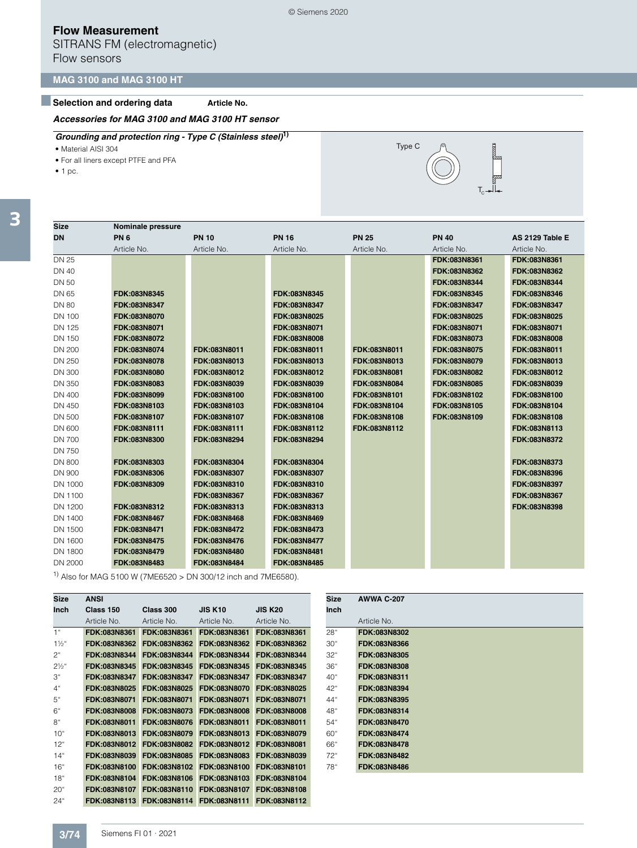SITRANS FM (electromagnetic) Flow sensors

### **MAG 3100 and MAG 3100 HT**

### **Belection and ordering data Article No.**

#### *Accessories for MAG 3100 and MAG 3100 HT sensor*

- *Grounding and protection ring Type C (Stainless steel)***1)**
- Material AISI 304
- For all liners except PTFE and PFA
- 1 pc.



| <b>Size</b>   | Nominale pressure |              |              |              |              |                 |
|---------------|-------------------|--------------|--------------|--------------|--------------|-----------------|
| <b>DN</b>     | <b>PN6</b>        | <b>PN 10</b> | <b>PN 16</b> | <b>PN 25</b> | <b>PN 40</b> | AS 2129 Table E |
|               | Article No.       | Article No.  | Article No.  | Article No.  | Article No.  | Article No.     |
| <b>DN 25</b>  |                   |              |              |              | FDK:083N8361 | FDK:083N8361    |
| <b>DN 40</b>  |                   |              |              |              | FDK:083N8362 | FDK:083N8362    |
| <b>DN 50</b>  |                   |              |              |              | FDK:083N8344 | FDK:083N8344    |
| <b>DN 65</b>  | FDK:083N8345      |              | FDK:083N8345 |              | FDK:083N8345 | FDK:083N8346    |
| <b>DN 80</b>  | FDK:083N8347      |              | FDK:083N8347 |              | FDK:083N8347 | FDK:083N8347    |
| <b>DN 100</b> | FDK:083N8070      |              | FDK:083N8025 |              | FDK:083N8025 | FDK:083N8025    |
| <b>DN 125</b> | FDK:083N8071      |              | FDK:083N8071 |              | FDK:083N8071 | FDK:083N8071    |
| <b>DN 150</b> | FDK:083N8072      |              | FDK:083N8008 |              | FDK:083N8073 | FDK:083N8008    |
| <b>DN 200</b> | FDK:083N8074      | FDK:083N8011 | FDK:083N8011 | FDK:083N8011 | FDK:083N8075 | FDK:083N8011    |
| <b>DN 250</b> | FDK:083N8078      | FDK:083N8013 | FDK:083N8013 | FDK:083N8013 | FDK:083N8079 | FDK:083N8013    |
| <b>DN 300</b> | FDK:083N8080      | FDK:083N8012 | FDK:083N8012 | FDK:083N8081 | FDK:083N8082 | FDK:083N8012    |
| <b>DN 350</b> | FDK:083N8083      | FDK:083N8039 | FDK:083N8039 | FDK:083N8084 | FDK:083N8085 | FDK:083N8039    |
| <b>DN 400</b> | FDK:083N8099      | FDK:083N8100 | FDK:083N8100 | FDK:083N8101 | FDK:083N8102 | FDK:083N8100    |
| <b>DN 450</b> | FDK:083N8103      | FDK:083N8103 | FDK:083N8104 | FDK:083N8104 | FDK:083N8105 | FDK:083N8104    |
| <b>DN 500</b> | FDK:083N8107      | FDK:083N8107 | FDK:083N8108 | FDK:083N8108 | FDK:083N8109 | FDK:083N8108    |
| <b>DN 600</b> | FDK:083N8111      | FDK:083N8111 | FDK:083N8112 | FDK:083N8112 |              | FDK:083N8113    |
| <b>DN 700</b> | FDK:083N8300      | FDK:083N8294 | FDK:083N8294 |              |              | FDK:083N8372    |
| <b>DN 750</b> |                   |              |              |              |              |                 |
| <b>DN 800</b> | FDK:083N8303      | FDK:083N8304 | FDK:083N8304 |              |              | FDK:083N8373    |
| DN 900        | FDK:083N8306      | FDK:083N8307 | FDK:083N8307 |              |              | FDK:083N8396    |
| DN 1000       | FDK:083N8309      | FDK:083N8310 | FDK:083N8310 |              |              | FDK:083N8397    |
| DN 1100       |                   | FDK:083N8367 | FDK:083N8367 |              |              | FDK:083N8367    |
| DN 1200       | FDK:083N8312      | FDK:083N8313 | FDK:083N8313 |              |              | FDK:083N8398    |
| DN 1400       | FDK:083N8467      | FDK:083N8468 | FDK:083N8469 |              |              |                 |
| DN 1500       | FDK:083N8471      | FDK:083N8472 | FDK:083N8473 |              |              |                 |
| DN 1600       | FDK:083N8475      | FDK:083N8476 | FDK:083N8477 |              |              |                 |
| DN 1800       | FDK:083N8479      | FDK:083N8480 | FDK:083N8481 |              |              |                 |
| DN 2000       | FDK:083N8483      | FDK:083N8484 | FDK:083N8485 |              |              |                 |

© Siemens 2020

 $1)$  Also for MAG 5100 W (7ME6520 > DN 300/12 inch and 7ME6580).

| <b>Size</b>      | <b>ANSI</b> |                           |                           |                           | <b>Size</b>  | <b>AWWA C-207</b>   |
|------------------|-------------|---------------------------|---------------------------|---------------------------|--------------|---------------------|
| Inch             | Class 150   | Class 300                 | <b>JIS K10</b>            | <b>JIS K20</b>            | Inch         |                     |
|                  | Article No. | Article No.               | Article No.               | Article No.               |              | Article No.         |
| 1"               |             | FDK:083N8361 FDK:083N8361 | FDK:083N8361              | FDK:083N8361              | 28"          | FDK:083N8302        |
| $1\frac{1}{2}$ " |             | FDK:083N8362 FDK:083N8362 |                           | FDK:083N8362 FDK:083N8362 | 30"          | FDK:083N8366        |
| $2^{\circ}$      |             | FDK:083N8344 FDK:083N8344 | FDK:083N8344              | FDK:083N8344              | 32"          | FDK:083N8305        |
| $2\frac{1}{2}$ " |             | FDK:083N8345 FDK:083N8345 | <b>FDK:083N8345</b>       | <b>FDK:083N8345</b>       | 36"          | FDK:083N8308        |
| 3"               |             | FDK:083N8347 FDK:083N8347 | FDK:083N8347              | FDK:083N8347              | $40^{\circ}$ | FDK:083N8311        |
| 4 <sup>"</sup>   |             | FDK:083N8025 FDK:083N8025 | FDK:083N8070              | <b>FDK:083N8025</b>       | 42"          | FDK:083N8394        |
| 5"               |             | FDK:083N8071 FDK:083N8071 | FDK:083N8071              | FDK:083N8071              | 44"          | FDK:083N8395        |
| 6"               |             | FDK:083N8008 FDK:083N8073 |                           | FDK:083N8008 FDK:083N8008 | 48"          | FDK:083N8314        |
| 8"               |             | FDK:083N8011 FDK:083N8076 | FDK:083N8011              | FDK:083N8011              | 54"          | <b>FDK:083N8470</b> |
| $10^{\circ}$     |             | FDK:083N8013 FDK:083N8079 |                           | FDK:083N8013 FDK:083N8079 | 60"          | FDK:083N8474        |
| 12"              |             | FDK:083N8012 FDK:083N8082 | FDK:083N8012 FDK:083N8081 |                           | 66"          | <b>FDK:083N8478</b> |
| 14"              |             | FDK:083N8039 FDK:083N8085 | FDK:083N8083              | FDK:083N8039              | 72°          | FDK:083N8482        |
| 16 <sup>th</sup> |             | FDK:083N8100 FDK:083N8102 | <b>FDK:083N8100</b>       | FDK:083N8101              | 78"          | FDK:083N8486        |
| 18°              |             | FDK:083N8104 FDK:083N8106 | FDK:083N8103              | FDK:083N8104              |              |                     |
| $20^{\circ}$     |             | FDK:083N8107 FDK:083N8110 | <b>FDK:083N8107</b>       | FDK:083N8108              |              |                     |
| 24"              |             | FDK:083N8113 FDK:083N8114 | FDK:083N8111 FDK:083N8112 |                           |              |                     |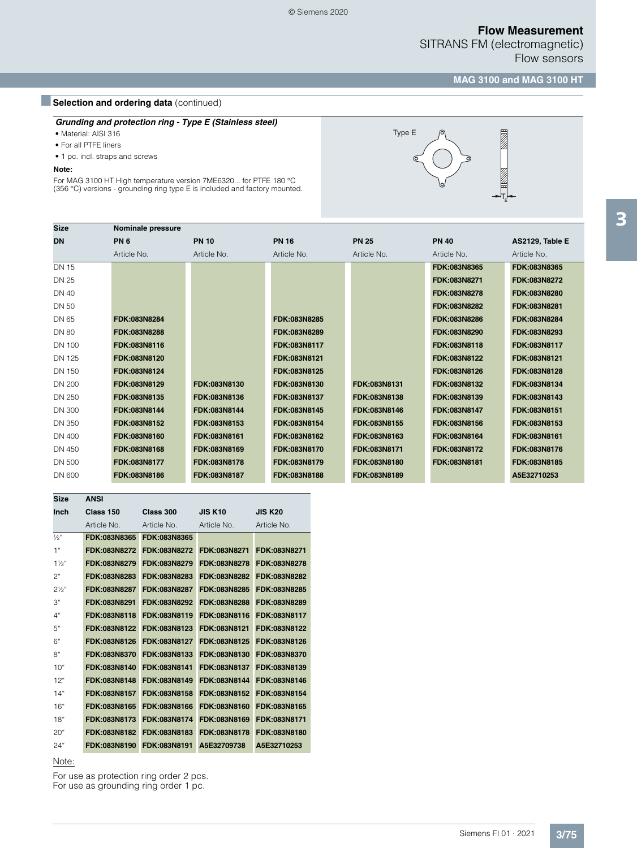SITRANS FM (electromagnetic) Flow sensors

**MAG 3100 and MAG 3100 HT**

# **Belection and ordering data** (continued)

*Grunding and protection ring - Type E (Stainless steel)*

• Material: AISI 316

• For all PTFE liners

• 1 pc. incl. straps and screws

#### **Note:**

For MAG 3100 HT High temperature version 7ME6320... for PTFE 180 °C (356 °C) versions - grounding ring type E is included and factory mounted.



| Size          | Nominale pressure |              |              |              |              |                 |
|---------------|-------------------|--------------|--------------|--------------|--------------|-----------------|
| <b>DN</b>     | <b>PN6</b>        | <b>PN 10</b> | <b>PN 16</b> | <b>PN 25</b> | <b>PN 40</b> | AS2129, Table E |
|               | Article No.       | Article No.  | Article No.  | Article No.  | Article No.  | Article No.     |
| <b>DN 15</b>  |                   |              |              |              | FDK:083N8365 | FDK:083N8365    |
| <b>DN 25</b>  |                   |              |              |              | FDK:083N8271 | FDK:083N8272    |
| <b>DN 40</b>  |                   |              |              |              | FDK:083N8278 | FDK:083N8280    |
| <b>DN 50</b>  |                   |              |              |              | FDK:083N8282 | FDK:083N8281    |
| DN 65         | FDK:083N8284      |              | FDK:083N8285 |              | FDK:083N8286 | FDK:083N8284    |
| <b>DN 80</b>  | FDK:083N8288      |              | FDK:083N8289 |              | FDK:083N8290 | FDK:083N8293    |
| DN 100        | FDK:083N8116      |              | FDK:083N8117 |              | FDK:083N8118 | FDK:083N8117    |
| <b>DN 125</b> | FDK:083N8120      |              | FDK:083N8121 |              | FDK:083N8122 | FDK:083N8121    |
| <b>DN 150</b> | FDK:083N8124      |              | FDK:083N8125 |              | FDK:083N8126 | FDK:083N8128    |
| <b>DN 200</b> | FDK:083N8129      | FDK:083N8130 | FDK:083N8130 | FDK:083N8131 | FDK:083N8132 | FDK:083N8134    |
| <b>DN 250</b> | FDK:083N8135      | FDK:083N8136 | FDK:083N8137 | FDK:083N8138 | FDK:083N8139 | FDK:083N8143    |
| <b>DN 300</b> | FDK:083N8144      | FDK:083N8144 | FDK:083N8145 | FDK:083N8146 | FDK:083N8147 | FDK:083N8151    |
| <b>DN 350</b> | FDK:083N8152      | FDK:083N8153 | FDK:083N8154 | FDK:083N8155 | FDK:083N8156 | FDK:083N8153    |
| <b>DN 400</b> | FDK:083N8160      | FDK:083N8161 | FDK:083N8162 | FDK:083N8163 | FDK:083N8164 | FDK:083N8161    |
| DN 450        | FDK:083N8168      | FDK:083N8169 | FDK:083N8170 | FDK:083N8171 | FDK:083N8172 | FDK:083N8176    |
| <b>DN 500</b> | FDK:083N8177      | FDK:083N8178 | FDK:083N8179 | FDK:083N8180 | FDK:083N8181 | FDK:083N8185    |
| DN 600        | FDK:083N8186      | FDK:083N8187 | FDK:083N8188 | FDK:083N8189 |              | A5E32710253     |

| <b>Size</b>      | <b>ANSI</b>  |              |                |                |
|------------------|--------------|--------------|----------------|----------------|
| Inch             | Class 150    | Class 300    | <b>JIS K10</b> | <b>JIS K20</b> |
|                  | Article No.  | Article No.  | Article No.    | Article No.    |
| $\frac{1}{2}$ "  | FDK:083N8365 | FDK:083N8365 |                |                |
| 1 <sup>u</sup>   | FDK:083N8272 | FDK:083N8272 | FDK:083N8271   | FDK:083N8271   |
| $1\frac{1}{2}$ " | FDK:083N8279 | FDK:083N8279 | FDK:083N8278   | FDK:083N8278   |
| $2^{\circ}$      | FDK:083N8283 | FDK:083N8283 | FDK:083N8282   | FDK:083N8282   |
| $2\frac{1}{2}$ " | FDK:083N8287 | FDK:083N8287 | FDK:083N8285   | FDK:083N8285   |
| 3"               | FDK:083N8291 | FDK:083N8292 | FDK:083N8288   | FDK:083N8289   |
| 4 <sup>ii</sup>  | FDK:083N8118 | FDK:083N8119 | FDK:083N8116   | FDK:083N8117   |
| 5"               | FDK:083N8122 | FDK:083N8123 | FDK:083N8121   | FDK:083N8122   |
| 6"               | FDK:083N8126 | FDK:083N8127 | FDK:083N8125   | FDK:083N8126   |
| 8"               | FDK:083N8370 | FDK:083N8133 | FDK:083N8130   | FDK:083N8370   |
| 10 <sup>4</sup>  | FDK:083N8140 | FDK:083N8141 | FDK:083N8137   | FDK:083N8139   |
| 12 <sup>°</sup>  | FDK:083N8148 | FDK:083N8149 | FDK:083N8144   | FDK:083N8146   |
| 14 <sup>°</sup>  | FDK:083N8157 | FDK:083N8158 | FDK:083N8152   | FDK:083N8154   |
| 16°              | FDK:083N8165 | FDK:083N8166 | FDK:083N8160   | FDK:083N8165   |
| 18 <sup>°</sup>  | FDK:083N8173 | FDK:083N8174 | FDK:083N8169   | FDK:083N8171   |
| $20^{\circ}$     | FDK:083N8182 | FDK:083N8183 | FDK:083N8178   | FDK:083N8180   |
| $24^{\circ}$     | FDK:083N8190 | FDK:083N8191 | A5E32709738    | A5E32710253    |

Note:

For use as protection ring order 2 pcs. For use as grounding ring order 1 pc.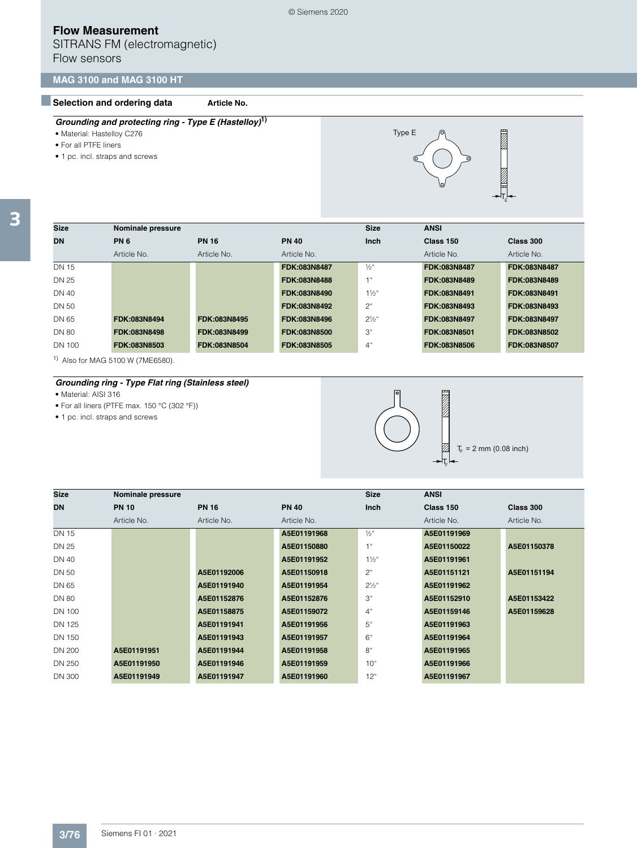SITRANS FM (electromagnetic) Flow sensors

### **MAG 3100 and MAG 3100 HT**

### **Selection and ordering data Article No.**

- Material: Hastelloy C276
- For all PTFE liners
- 1 pc. incl. straps and screws



| <b>Size</b>  | Nominale pressure          |              |              | <b>Size</b>      | <b>ANSI</b>  |              |
|--------------|----------------------------|--------------|--------------|------------------|--------------|--------------|
| <b>DN</b>    | <b>PN6</b><br><b>PN 16</b> |              | <b>PN 40</b> | Inch             | Class 150    | Class 300    |
|              | Article No.                | Article No.  | Article No.  |                  | Article No.  | Article No.  |
| <b>DN 15</b> |                            |              | FDK:083N8487 | $\frac{1}{2}$ "  | FDK:083N8487 | FDK:083N8487 |
| DN 25        |                            |              | FDK:083N8488 |                  | FDK:083N8489 | FDK:083N8489 |
| DN 40        |                            |              | FDK:083N8490 | $1\frac{1}{2}$ " | FDK:083N8491 | FDK:083N8491 |
| DN 50        |                            |              | FDK:083N8492 | $2^{\circ}$      | FDK:083N8493 | FDK:083N8493 |
| DN 65        | FDK:083N8494               | FDK:083N8495 | FDK:083N8496 | $2\frac{1}{2}$ " | FDK:083N8497 | FDK:083N8497 |
| <b>DN 80</b> | FDK:083N8498               | FDK:083N8499 | FDK:083N8500 | 3 <sup>°</sup>   | FDK:083N8501 | FDK:083N8502 |
| DN 100       | FDK:083N8503               | FDK:083N8504 | FDK:083N8505 | 4 <sup>"</sup>   | FDK:083N8506 | FDK:083N8507 |

1) Also for MAG 5100 W (7ME6580).

### *Grounding ring - Type Flat ring (Stainless steel)*

• Material: AISI 316

• For all liners (PTFE max. 150 °C (302 °F))

• 1 pc. incl. straps and screws



 $T_F$  = 2 mm (0.08 inch)

| <b>Size</b>   | Nominale pressure |              |              | <b>Size</b>      | <b>ANSI</b> |             |
|---------------|-------------------|--------------|--------------|------------------|-------------|-------------|
| <b>DN</b>     | <b>PN 10</b>      | <b>PN 16</b> | <b>PN 40</b> | <b>Inch</b>      | Class 150   | Class 300   |
|               | Article No.       | Article No.  | Article No.  |                  | Article No. | Article No. |
| <b>DN 15</b>  |                   |              | A5E01191968  | $\frac{1}{2}$ "  | A5E01191969 |             |
| <b>DN 25</b>  |                   |              | A5E01150880  | 1 <sup>u</sup>   | A5E01150022 | A5E01150378 |
| DN 40         |                   |              | A5E01191952  | $1\frac{1}{2}$ " | A5E01191961 |             |
| DN 50         |                   | A5E01192006  | A5E01150918  | $2^{\circ}$      | A5E01151121 | A5E01151194 |
| DN 65         |                   | A5E01191940  | A5E01191954  | $2\frac{1}{2}$ " | A5E01191962 |             |
| <b>DN 80</b>  |                   | A5E01152876  | A5E01152876  | 3 <sup>°</sup>   | A5E01152910 | A5E01153422 |
| <b>DN 100</b> |                   | A5E01158875  | A5E01159072  | 4 <sup>"</sup>   | A5E01159146 | A5E01159628 |
| <b>DN 125</b> |                   | A5E01191941  | A5E01191956  | 5"               | A5E01191963 |             |
| <b>DN 150</b> |                   | A5E01191943  | A5E01191957  | 6"               | A5E01191964 |             |
| <b>DN 200</b> | A5E01191951       | A5E01191944  | A5E01191958  | 8 <sup>th</sup>  | A5E01191965 |             |
| DN 250        | A5E01191950       | A5E01191946  | A5E01191959  | 10 <sup>°</sup>  | A5E01191966 |             |
| <b>DN 300</b> | A5E01191949       | A5E01191947  | A5E01191960  | 12"              | A5E01191967 |             |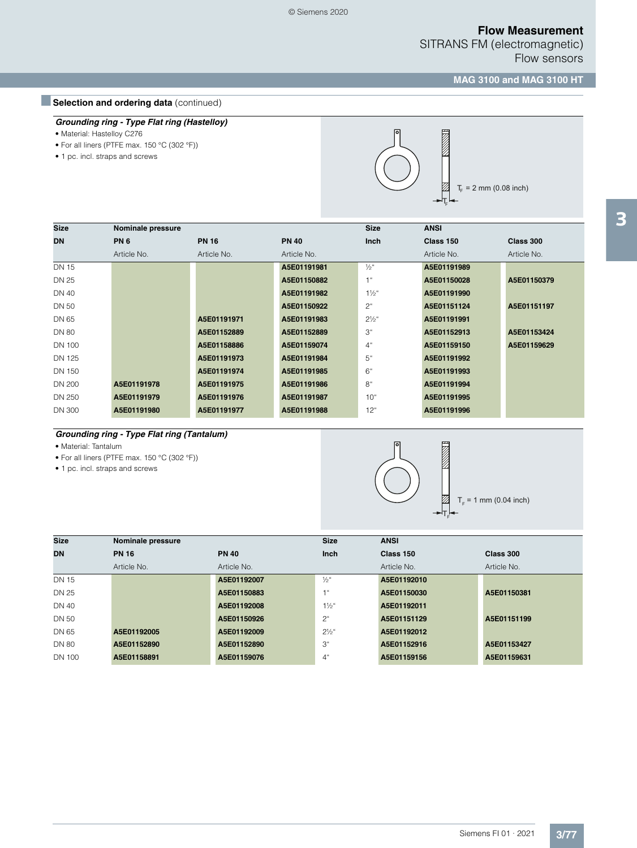SITRANS FM (electromagnetic) Flow sensors

## **MAG 3100 and MAG 3100 HT**

# **Belection and ordering data** (continued)

### *Grounding ring - Type Flat ring (Hastelloy)*

• Material: Hastelloy C276

- For all liners (PTFE max. 150 °C (302 °F))
- 1 pc. incl. straps and screws



 $T_F$  = 2 mm (0.08 inch)

| <b>Size</b>   | Nominale pressure |              |              | <b>Size</b>      | <b>ANSI</b> |             |  |  |
|---------------|-------------------|--------------|--------------|------------------|-------------|-------------|--|--|
| <b>DN</b>     | <b>PN 6</b>       | <b>PN 16</b> | <b>PN 40</b> | <b>Inch</b>      | Class 150   | Class 300   |  |  |
|               | Article No.       | Article No.  | Article No.  |                  | Article No. | Article No. |  |  |
| <b>DN 15</b>  |                   |              | A5E01191981  | $\frac{1}{2}$ "  | A5E01191989 |             |  |  |
| <b>DN 25</b>  |                   |              | A5E01150882  | 1 <sup>ii</sup>  | A5E01150028 | A5E01150379 |  |  |
| DN 40         |                   |              | A5E01191982  | $1\frac{1}{2}$ " | A5E01191990 |             |  |  |
| DN 50         |                   |              | A5E01150922  | 2 <sup>"</sup>   | A5E01151124 | A5E01151197 |  |  |
| DN 65         |                   | A5E01191971  | A5E01191983  | $2\frac{1}{2}$ " | A5E01191991 |             |  |  |
| <b>DN 80</b>  |                   | A5E01152889  | A5E01152889  | З"               | A5E01152913 | A5E01153424 |  |  |
| DN 100        |                   | A5E01158886  | A5E01159074  | 4"               | A5E01159150 | A5E01159629 |  |  |
| DN 125        |                   | A5E01191973  | A5E01191984  | 5"               | A5E01191992 |             |  |  |
| DN 150        |                   | A5E01191974  | A5E01191985  | 6"               | A5E01191993 |             |  |  |
| <b>DN 200</b> | A5E01191978       | A5E01191975  | A5E01191986  | 8"               | A5E01191994 |             |  |  |
| DN 250        | A5E01191979       | A5E01191976  | A5E01191987  | 10 <sup>"</sup>  | A5E01191995 |             |  |  |
| DN 300        | A5E01191980       | A5E01191977  | A5E01191988  | 12°              | A5E01191996 |             |  |  |

### *Grounding ring - Type Flat ring (Tantalum)*

• Material: Tantalum

• For all liners (PTFE max. 150 °C (302 °F))

• 1 pc. incl. straps and screws



| <b>Size</b>  | Nominale pressure |              | <b>Size</b>      | <b>ANSI</b> |             |
|--------------|-------------------|--------------|------------------|-------------|-------------|
| <b>DN</b>    | <b>PN 16</b>      | <b>PN 40</b> | <b>Inch</b>      | Class 150   | Class 300   |
|              | Article No.       | Article No.  |                  | Article No. | Article No. |
| <b>DN 15</b> |                   | A5E01192007  | $\frac{1}{2}$ "  | A5E01192010 |             |
| DN 25        |                   | A5E01150883  | $-111$           | A5E01150030 | A5E01150381 |
| DN 40        |                   | A5E01192008  | $1\frac{1}{2}$ " | A5E01192011 |             |
| DN 50        |                   | A5E01150926  | 2 <sup>u</sup>   | A5E01151129 | A5E01151199 |
| DN 65        | A5E01192005       | A5E01192009  | $2\frac{1}{2}$ " | A5E01192012 |             |
| DN 80        | A5E01152890       | A5E01152890  | 3"               | A5E01152916 | A5E01153427 |
| DN 100       | A5E01158891       | A5E01159076  | 4"               | A5E01159156 | A5E01159631 |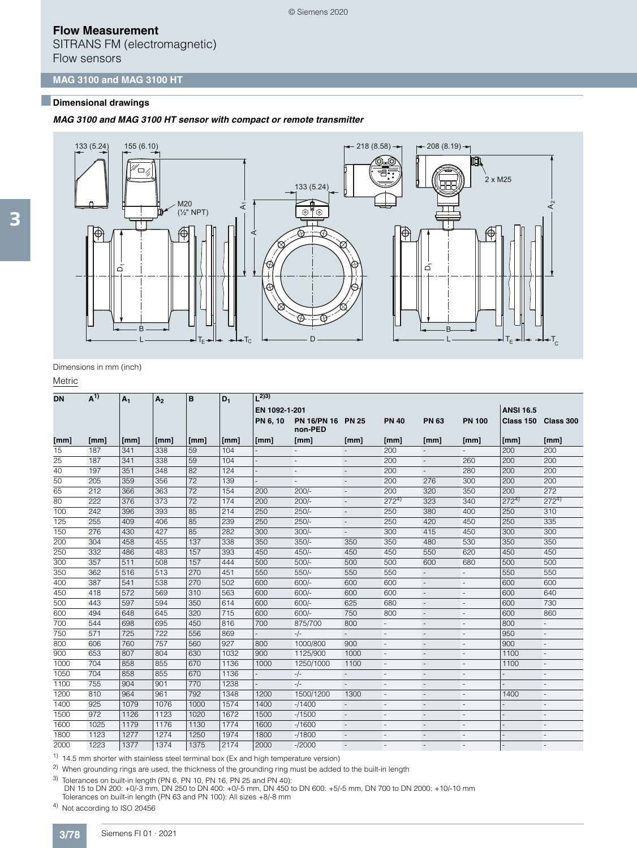SITRANS FM (electromagnetic) Flow sensors

## **MAG 3100 and MAG 3100 HT**

### ■**Dimensional drawings**

### *MAG 3100 and MAG 3100 HT sensor with compact or remote transmitter*



Dimensions in mm (inch)

Metric

| <b>DN</b> | $A^{1}$ | $A_1$ | A <sub>2</sub> | B               | $D_1$ | (2)3)         |                              |                          |                          |                          |                          |                        |                          |
|-----------|---------|-------|----------------|-----------------|-------|---------------|------------------------------|--------------------------|--------------------------|--------------------------|--------------------------|------------------------|--------------------------|
|           |         |       |                |                 |       | EN 1092-1-201 |                              |                          |                          |                          |                          | <b>ANSI 16.5</b>       |                          |
|           |         |       |                |                 |       | PN 6, 10      | PN 16/PN 16 PN 25<br>non-PED |                          | <b>PN 40</b>             | <b>PN63</b>              | <b>PN 100</b>            | Class 150              | Class 300                |
| [mm]      | [mm]    | [mm]  | [mm]           | [mm]            | [mm]  | [mm]          | [mm]                         | [mm]                     | [mm]                     | [mm]                     | [mm]                     | $\mathsf{m}\mathsf{m}$ | [mm]                     |
| 15        | 187     | 341   | 338            | 59              | 104   |               | $\overline{\phantom{m}}$     |                          | 200                      |                          |                          | 200                    | 200                      |
| 25        | 187     | 341   | 338            | 59              | 104   |               | $\overline{\phantom{a}}$     | $\overline{\phantom{a}}$ | 200                      | $\overline{\phantom{a}}$ | 260                      | 200                    | 200                      |
| 40        | 197     | 351   | 348            | 82              | 124   |               | $\overline{a}$               | $\overline{a}$           | 200                      | $\mathcal{L}$            | 280                      | 200                    | 200                      |
| 50        | 205     | 359   | 356            | 72              | 139   |               | $\overline{a}$               | $\overline{a}$           | 200                      | 276                      | 300                      | 200                    | 200                      |
| 65        | 212     | 366   | 363            | 72              | 154   | 200           | $200/-$                      | $\overline{a}$           | 200                      | 320                      | 350                      | 200                    | 272                      |
| 80        | 222     | 376   | 373            | $\overline{72}$ | 174   | 200           | $200/-$                      | $\overline{a}$           | $272^{4}$                | 323                      | 340                      | $272^{4}$              | $272^{4}$                |
| 100       | 242     | 396   | 393            | 85              | 214   | 250           | $250/-$                      | $\overline{a}$           | 250                      | 380                      | 400                      | 250                    | 310                      |
| 125       | 255     | 409   | 406            | 85              | 239   | 250           | $250/-$                      | $\overline{\phantom{a}}$ | 250                      | 420                      | 450                      | 250                    | 335                      |
| 150       | 276     | 430   | 427            | 85              | 282   | 300           | $300/-$                      |                          | 300                      | 415                      | 450                      | 300                    | 300                      |
| 200       | 304     | 458   | 455            | 137             | 338   | 350           | $350/-$                      | 350                      | 350                      | 480                      | 530                      | 350                    | 350                      |
| 250       | 332     | 486   | 483            | 157             | 393   | 450           | $450/-$                      | 450                      | 450                      | 550                      | 620                      | 450                    | 450                      |
| 300       | 357     | 511   | 508            | 157             | 444   | 500           | $500/-$                      | 500                      | 500                      | 600                      | 680                      | 500                    | 500                      |
| 350       | 362     | 516   | 513            | 270             | 451   | 550           | 550/                         | 550                      | 550                      | $\overline{\phantom{a}}$ |                          | 550                    | 550                      |
| 400       | 387     | 541   | 538            | 270             | 502   | 600           | $600/-$                      | 600                      | 600                      | $\overline{\phantom{a}}$ | $\overline{\phantom{0}}$ | 600                    | 600                      |
| 450       | 418     | 572   | 569            | 310             | 563   | 600           | $600/-$                      | 600                      | 600                      | $\mathcal{L}$            | $\frac{1}{2}$            | 600                    | 640                      |
| 500       | 443     | 597   | 594            | 350             | 614   | 600           | $600/-$                      | 625                      | 680                      | $\sim$                   | $\overline{\phantom{m}}$ | 600                    | 730                      |
| 600       | 494     | 648   | 645            | 320             | 715   | 600           | $600/-$                      | 750                      | 800                      | $\overline{\phantom{a}}$ | $\overline{\phantom{m}}$ | 600                    | 860                      |
| 700       | 544     | 698   | 695            | 450             | 816   | 700           | 875/700                      | 800                      | $\overline{a}$           | $\overline{a}$           |                          | 800                    | $\overline{a}$           |
| 750       | 571     | 725   | 722            | 556             | 869   |               | $-/-$                        | $\overline{\phantom{a}}$ | $\overline{\phantom{a}}$ | $\overline{\phantom{a}}$ | $\overline{\phantom{a}}$ | 950                    | $\overline{\phantom{a}}$ |
| 800       | 606     | 760   | 757            | 560             | 927   | 800           | 1000/800                     | 900                      | $\overline{\phantom{a}}$ | $\overline{a}$           | $\overline{a}$           | 900                    | $\overline{a}$           |
| 900       | 653     | 807   | 804            | 630             | 1032  | 900           | 1125/900                     | 1000                     | $\overline{\phantom{a}}$ | $\overline{\phantom{a}}$ | $\overline{\phantom{a}}$ | 1100                   | $\overline{\phantom{a}}$ |
| 1000      | 704     | 858   | 855            | 670             | 1136  | 1000          | 1250/1000                    | 1100                     | $\overline{\phantom{a}}$ | $\overline{a}$           | $\overline{a}$           | 1100                   | $\overline{a}$           |
| 1050      | 704     | 858   | 855            | 670             | 1136  |               | $-/-$                        | $\overline{\phantom{a}}$ | $\overline{\phantom{a}}$ | $\overline{\phantom{a}}$ | $\overline{\phantom{m}}$ |                        | $\overline{\phantom{a}}$ |
| 1100      | 755     | 904   | 901            | 770             | 1238  |               | $-/-$                        | $\mathcal{L}$            | $\overline{a}$           | $\overline{a}$           |                          |                        | $\overline{a}$           |
| 1200      | 810     | 964   | 961            | 792             | 1348  | 1200          | 1500/1200                    | 1300                     | $\overline{a}$           | $\overline{a}$           | $\overline{a}$           | 1400                   | $\overline{a}$           |
| 1400      | 925     | 1079  | 1076           | 1000            | 1574  | 1400          | $-11400$                     | $\sim$                   | $\overline{\phantom{a}}$ | $\overline{\phantom{a}}$ | $\overline{\phantom{m}}$ |                        | $\overline{a}$           |
| 1500      | 972     | 1126  | 1123           | 1020            | 1672  | 1500          | $-11500$                     | $\overline{a}$           | $\overline{a}$           | $\overline{a}$           |                          |                        |                          |
| 1600      | 1025    | 1179  | 1176           | 1130            | 1774  | 1600          | $-11600$                     | $\overline{a}$           | $\overline{\phantom{a}}$ | $\overline{a}$           | ٠                        |                        | $\overline{\phantom{a}}$ |
| 1800      | 1123    | 1277  | 1274           | 1250            | 1974  | 1800          | $-1800$                      |                          |                          |                          | $\overline{\phantom{m}}$ |                        | $\overline{\phantom{a}}$ |
| 2000      | 1223    | 1377  | 1374           | 1375            | 2174  | 2000          | $-12000$                     | $\overline{\phantom{a}}$ | $\overline{\phantom{a}}$ | $\overline{a}$           | $\overline{\phantom{a}}$ |                        | $\overline{\phantom{a}}$ |

 $1)$  14.5 mm shorter with stainless steel terminal box (Ex and high temperature version)

<sup>2)</sup> When grounding rings are used, the thickness of the grounding ring must be added to the built-in length

3) Tolerances on built-in length (PN 6, PN 10, PN 16, PN 25 and PN 40): DN 15 to DN 200: +0/-3 mm, DN 250 to DN 400: +0/-5 mm, DN 450 to DN 600: +5/-5 mm, DN 700 to DN 2000: +10/-10 mm Tolerances on built-in length (PN 63 and PN 100): All sizes +8/-8 mm

4) Not according to ISO 20456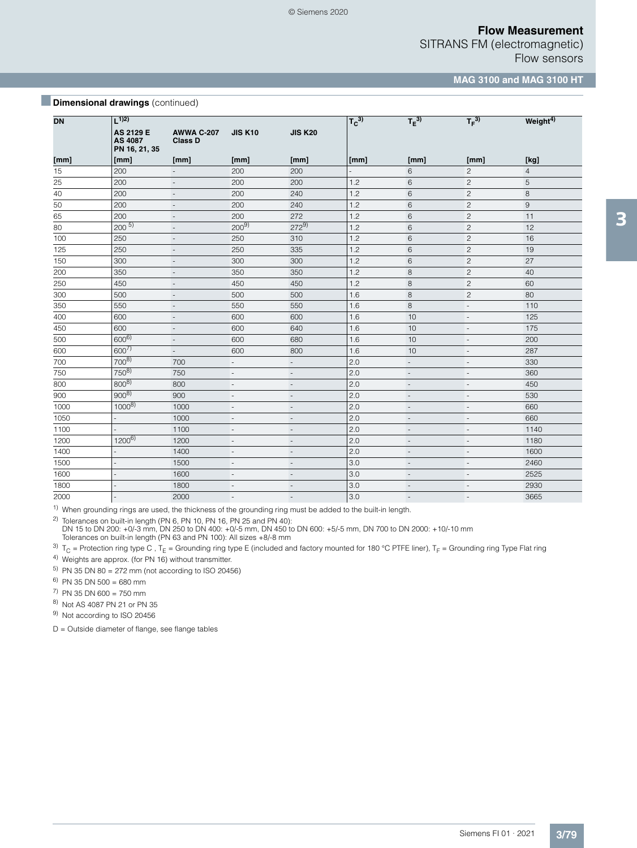SITRANS FM (electromagnetic) Flow sensors

### **MAG 3100 and MAG 3100 HT**

*Dimensional drawings (continued)* 

| <b>DN</b> | (1)                                          |                                     |                          |                          | $T_c^{3)}$ | $T_E^{(3)}$              | $T_F^{3)}$               | Weight <sup>4)</sup> |
|-----------|----------------------------------------------|-------------------------------------|--------------------------|--------------------------|------------|--------------------------|--------------------------|----------------------|
|           | AS 2129 E<br><b>AS 4087</b><br>PN 16, 21, 35 | <b>AWWA C-207</b><br><b>Class D</b> | <b>JIS K10</b>           | <b>JIS K20</b>           |            |                          |                          |                      |
| [mm]      | [mm]                                         | [mm]                                | [mm]                     | [mm]                     | [mm]       | [mm]                     | [mm]                     | [kg]                 |
| 15        | 200                                          | $\overline{a}$                      | 200                      | 200                      |            | 6                        | $\mathbf{2}$             | $\overline{4}$       |
| 25        | 200                                          | $\overline{\phantom{a}}$            | 200                      | 200                      | 1.2        | $6\phantom{1}6$          | $\overline{c}$           | 5                    |
| 40        | 200                                          | $\overline{\phantom{a}}$            | 200                      | 240                      | 1.2        | $6\phantom{1}6$          | $\overline{c}$           | 8                    |
| 50        | 200                                          | $\overline{\phantom{a}}$            | 200                      | 240                      | 1.2        | 6                        | $\overline{c}$           | $9$                  |
| 65        | 200                                          | $\overline{a}$                      | 200                      | 272                      | 1.2        | $6\phantom{1}6$          | $\overline{c}$           | 11                   |
| 80        | $200^{5}$                                    | $\overline{\phantom{a}}$            | $200^{9}$                | $272^{9}$                | 1.2        | $6\phantom{1}6$          | $\overline{c}$           | 12                   |
| 100       | 250                                          | $\overline{\phantom{a}}$            | 250                      | 310                      | 1.2        | 6                        | $\overline{c}$           | 16                   |
| 125       | 250                                          | $\overline{a}$                      | 250                      | 335                      | 1.2        | $6\phantom{1}6$          | $\overline{c}$           | 19                   |
| 150       | 300                                          | $\overline{\phantom{a}}$            | 300                      | 300                      | 1.2        | $6\phantom{1}$           | $\overline{c}$           | 27                   |
| 200       | 350                                          | $\overline{\phantom{a}}$            | 350                      | 350                      | 1.2        | 8                        | $\overline{c}$           | 40                   |
| 250       | 450                                          | $\overline{a}$                      | 450                      | 450                      | 1.2        | $\,8\,$                  | $\overline{c}$           | 60                   |
| 300       | 500                                          | $\overline{a}$                      | 500                      | 500                      | 1.6        | $\,8\,$                  | $\overline{c}$           | 80                   |
| 350       | 550                                          | $\overline{\phantom{a}}$            | 550                      | 550                      | 1.6        | 8                        | $\overline{a}$           | 110                  |
| 400       | 600                                          | $\overline{a}$                      | 600                      | 600                      | 1.6        | 10                       | $\overline{a}$           | 125                  |
| 450       | 600                                          | $\overline{a}$                      | 600                      | 640                      | 1.6        | 10                       | $\frac{1}{2}$            | 175                  |
| 500       | $600^{6}$                                    | $\overline{\phantom{a}}$            | 600                      | 680                      | 1.6        | 10                       | $\overline{\phantom{a}}$ | 200                  |
| 600       | $600^{7}$                                    | $\overline{\phantom{a}}$            | 600                      | 800                      | 1.6        | 10                       | $\overline{\phantom{a}}$ | 287                  |
| 700       | $700^{8}$                                    | 700                                 | $\overline{\phantom{a}}$ | $\overline{\phantom{a}}$ | 2.0        | $\overline{\phantom{a}}$ | $\overline{\phantom{a}}$ | 330                  |
| 750       | $750^{8}$                                    | 750                                 | $\overline{\phantom{a}}$ | $\overline{\phantom{a}}$ | 2.0        | $\overline{\phantom{a}}$ | $\overline{\phantom{a}}$ | 360                  |
| 800       | $800^{8}$                                    | 800                                 | $\overline{\phantom{a}}$ | $\overline{\phantom{a}}$ | 2.0        | $\overline{\phantom{a}}$ | $\overline{\phantom{a}}$ | 450                  |
| 900       | $900^{8}$                                    | 900                                 | $\overline{a}$           | $\overline{\phantom{a}}$ | 2.0        | $\overline{\phantom{a}}$ | $\overline{\phantom{a}}$ | 530                  |
| 1000      | $1000^{8}$                                   | 1000                                | $\overline{a}$           | $\centerdot$             | 2.0        | $\overline{\phantom{a}}$ | $\overline{\phantom{a}}$ | 660                  |
| 1050      |                                              | 1000                                | $\overline{\phantom{a}}$ | $\overline{\phantom{a}}$ | 2.0        | $\overline{\phantom{a}}$ | $\overline{\phantom{a}}$ | 660                  |
| 1100      |                                              | 1100                                | $\overline{\phantom{a}}$ | $\overline{\phantom{a}}$ | 2.0        | $\overline{\phantom{a}}$ | $\overline{\phantom{a}}$ | 1140                 |
| 1200      | $1200^{6}$                                   | 1200                                | $\overline{\phantom{m}}$ | $\overline{\phantom{a}}$ | 2.0        | $\overline{\phantom{a}}$ | $\overline{\phantom{a}}$ | 1180                 |
| 1400      |                                              | 1400                                | $\overline{\phantom{a}}$ | $\overline{\phantom{a}}$ | 2.0        | $\overline{\phantom{a}}$ | $\overline{a}$           | 1600                 |
| 1500      |                                              | 1500                                | $\overline{a}$           | $\overline{a}$           | 3.0        | $\overline{\phantom{a}}$ | $\overline{\phantom{a}}$ | 2460                 |
| 1600      |                                              | 1600                                | $\overline{a}$           | $\overline{\phantom{a}}$ | 3.0        | $\overline{\phantom{a}}$ | $\overline{a}$           | 2525                 |
| 1800      |                                              | 1800                                | $\overline{\phantom{a}}$ | $\overline{\phantom{m}}$ | 3.0        | $\overline{\phantom{a}}$ | $\overline{\phantom{a}}$ | 2930                 |
| 2000      |                                              | 2000                                | $\overline{\phantom{a}}$ | $\overline{\phantom{a}}$ | 3.0        | $\overline{\phantom{a}}$ | $\overline{\phantom{a}}$ | 3665                 |

<sup>1)</sup> When grounding rings are used, the thickness of the grounding ring must be added to the built-in length.

2) Tolerances on built-in length (PN 6, PN 10, PN 16, PN 25 and PN 40):

DN 15 to DN 200: +0/-3 mm, DN 250 to DN 400: +0/-5 mm, DN 450 to DN 600: +5/-5 mm, DN 700 to DN 2000: +10/-10 mm Tolerances on built-in length (PN 63 and PN 100): All sizes +8/-8 mm

<sup>3)</sup>  $T_C$  = Protection ring type C,  $T_E$  = Grounding ring type E (included and factory mounted for 180 °C PTFE liner),  $T_F$  = Grounding ring Type Flat ring

4) Weights are approx. (for PN 16) without transmitter.

5) PN 35 DN 80 = 272 mm (not according to ISO 20456)

 $6)$  PN 35 DN 500 = 680 mm

7) PN 35 DN 600 = 750 mm

8) Not AS 4087 PN 21 or PN 35

9) Not according to ISO 20456

D = Outside diameter of flange, see flange tables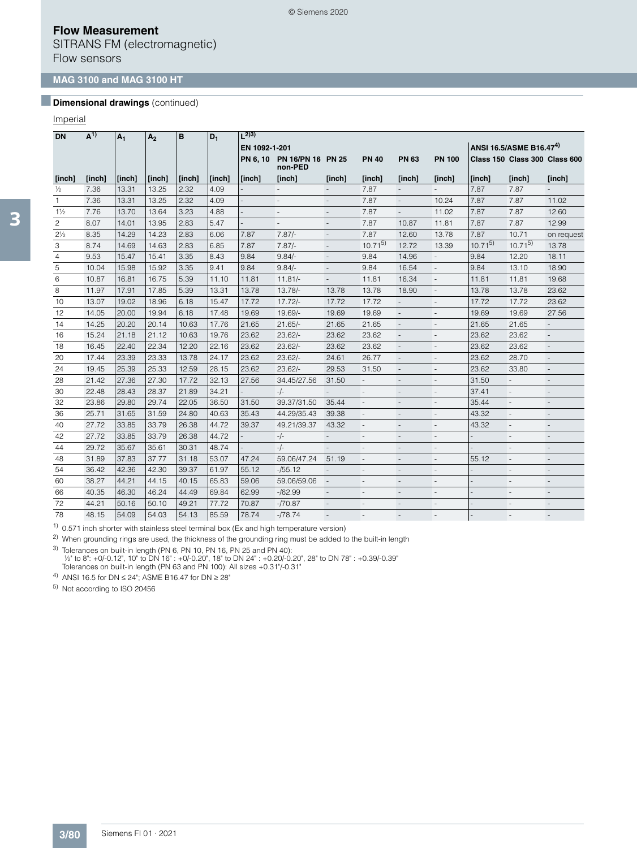## SITRANS FM (electromagnetic) Flow sensors

### **MAG 3100 and MAG 3100 HT**

## **Dimensional drawings** (continued)

### **Imperial**

| <b>DN</b>      | $A^{1}$ | A <sub>1</sub> | A <sub>2</sub> | B      | $D_1$  | (2)3)         |                              |                          |                          |                          |                          |                         |                          |                               |
|----------------|---------|----------------|----------------|--------|--------|---------------|------------------------------|--------------------------|--------------------------|--------------------------|--------------------------|-------------------------|--------------------------|-------------------------------|
|                |         |                |                |        |        | EN 1092-1-201 |                              |                          |                          |                          |                          | ANSI 16.5/ASME B16.474) |                          |                               |
|                |         |                |                |        |        | PN 6.10       | PN 16/PN 16 PN 25<br>non-PED |                          | <b>PN 40</b>             | <b>PN 63</b>             | <b>PN 100</b>            |                         |                          | Class 150 Class 300 Class 600 |
| [inch]         | [inch]  | [inch]         | [inch]         | [inch] | [inch] | [inch]        | [inch]                       | [inch]                   | [inch]                   | [inch]                   | [inch]                   | [inch]                  | [inch]                   | [inch]                        |
| $\frac{1}{2}$  | 7.36    | 13.31          | 13.25          | 2.32   | 4.09   |               |                              |                          | 7.87                     |                          |                          | 7.87                    | 7.87                     |                               |
| $\overline{1}$ | 7.36    | 13.31          | 13.25          | 2.32   | 4.09   |               |                              |                          | 7.87                     |                          | 10.24                    | 7.87                    | 7.87                     | 11.02                         |
| $1\frac{1}{2}$ | 7.76    | 13.70          | 13.64          | 3.23   | 4.88   |               | $\overline{\phantom{a}}$     | $\overline{\phantom{a}}$ | 7.87                     | $\overline{\phantom{a}}$ | 11.02                    | 7.87                    | 7.87                     | 12.60                         |
| $\overline{c}$ | 8.07    | 14.01          | 13.95          | 2.83   | 5.47   |               | $\overline{a}$               | Ĭ.                       | 7.87                     | 10.87                    | 11.81                    | 7.87                    | 7.87                     | 12.99                         |
| $2\frac{1}{2}$ | 8.35    | 14.29          | 14.23          | 2.83   | 6.06   | 7.87          | $7.87/-$                     | $\overline{a}$           | 7.87                     | 12.60                    | 13.78                    | 7.87                    | 10.71                    | on request                    |
| 3              | 8.74    | 14.69          | 14.63          | 2.83   | 6.85   | 7.87          | $7.87/-$                     | $\overline{\phantom{a}}$ | $10.71^{5}$              | 12.72                    | 13.39                    | $10.71^{5}$             | $10.71^{5}$              | 13.78                         |
| $\overline{4}$ | 9.53    | 15.47          | 15.41          | 3.35   | 8.43   | 9.84          | $9.84/-$                     |                          | 9.84                     | 14.96                    |                          | 9.84                    | 12.20                    | 18.11                         |
| 5              | 10.04   | 15.98          | 15.92          | 3.35   | 9.41   | 9.84          | $9.84/-$                     |                          | 9.84                     | 16.54                    |                          | 9.84                    | 13.10                    | 18.90                         |
| 6              | 10.87   | 16.81          | 16.75          | 5.39   | 11.10  | 11.81         | $11.81/-$                    | $\overline{\phantom{a}}$ | 11.81                    | 16.34                    | $\overline{\phantom{a}}$ | 11.81                   | 11.81                    | 19.68                         |
| 8              | 11.97   | 17.91          | 17.85          | 5.39   | 13.31  | 13.78         | $13.78/-$                    | 13.78                    | 13.78                    | 18.90                    | $\overline{a}$           | 13.78                   | 13.78                    | 23.62                         |
| 10             | 13.07   | 19.02          | 18.96          | 6.18   | 15.47  | 17.72         | $17.72/-$                    | 17.72                    | 17.72                    | $\overline{\phantom{a}}$ |                          | 17.72                   | 17.72                    | 23.62                         |
| 12             | 14.05   | 20.00          | 19.94          | 6.18   | 17.48  | 19.69         | $19.69/-$                    | 19.69                    | 19.69                    | $\sim$                   | $\overline{\phantom{a}}$ | 19.69                   | 19.69                    | 27.56                         |
| 14             | 14.25   | 20.20          | 20.14          | 10.63  | 17.76  | 21.65         | $21.65/-$                    | 21.65                    | 21.65                    | $\overline{\phantom{a}}$ |                          | 21.65                   | 21.65                    |                               |
| 16             | 15.24   | 21.18          | 21.12          | 10.63  | 19.76  | 23.62         | $23.62/-$                    | 23.62                    | 23.62                    |                          | $\overline{\phantom{a}}$ | 23.62                   | 23.62                    |                               |
| 18             | 16.45   | 22.40          | 22.34          | 12.20  | 22.16  | 23.62         | $23.62/-$                    | 23.62                    | 23.62                    | $\overline{\phantom{a}}$ | $\overline{\phantom{m}}$ | 23.62                   | 23.62                    | $\overline{\phantom{a}}$      |
| 20             | 17.44   | 23.39          | 23.33          | 13.78  | 24.17  | 23.62         | $23.62/-$                    | 24.61                    | 26.77                    | $\overline{\phantom{a}}$ | $\overline{\phantom{a}}$ | 23.62                   | 28.70                    | $\overline{\phantom{a}}$      |
| 24             | 19.45   | 25.39          | 25.33          | 12.59  | 28.15  | 23.62         | $23.62/-$                    | 29.53                    | 31.50                    | $\overline{a}$           |                          | 23.62                   | 33.80                    |                               |
| 28             | 21.42   | 27.36          | 27.30          | 17.72  | 32.13  | 27.56         | 34.45/27.56                  | 31.50                    | $\overline{\phantom{a}}$ | $\overline{a}$           | $\overline{\phantom{m}}$ | 31.50                   | $\overline{\phantom{a}}$ | $\blacksquare$                |
| 30             | 22.48   | 28.43          | 28.37          | 21.89  | 34.21  |               | $-/-$                        |                          | $\overline{\phantom{a}}$ | $\overline{a}$           |                          | 37.41                   | $\overline{\phantom{a}}$ | $\overline{a}$                |
| 32             | 23.86   | 29.80          | 29.74          | 22.05  | 36.50  | 31.50         | 39.37/31.50                  | 35.44                    |                          | $\overline{\phantom{a}}$ | ٠                        | 35.44                   | $\overline{a}$           | $\overline{\phantom{a}}$      |
| 36             | 25.71   | 31.65          | 31.59          | 24.80  | 40.63  | 35.43         | 44.29/35.43                  | 39.38                    | $\overline{\phantom{a}}$ | $\overline{\phantom{a}}$ | $\overline{\phantom{m}}$ | 43.32                   | $\overline{\phantom{a}}$ | $\overline{\phantom{a}}$      |
| 40             | 27.72   | 33.85          | 33.79          | 26.38  | 44.72  | 39.37         | 49.21/39.37                  | 43.32                    | $\overline{\phantom{a}}$ | $\overline{a}$           | L,                       | 43.32                   | $\overline{\phantom{a}}$ | $\overline{\phantom{a}}$      |
| 42             | 27.72   | 33.85          | 33.79          | 26.38  | 44.72  |               | $-/-$                        |                          |                          |                          |                          |                         | ٠                        |                               |
| 44             | 29.72   | 35.67          | 35.61          | 30.31  | 48.74  |               | $-/-$                        |                          |                          | $\overline{a}$           | $\overline{\phantom{m}}$ |                         | $\overline{\phantom{a}}$ | $\overline{\phantom{a}}$      |
| 48             | 31.89   | 37.83          | 37.77          | 31.18  | 53.07  | 47.24         | 59.06/47.24                  | 51.19                    |                          | ٠                        |                          | 55.12                   | $\overline{a}$           |                               |
| 54             | 36.42   | 42.36          | 42.30          | 39.37  | 61.97  | 55.12         | $-155.12$                    |                          |                          |                          | ٠                        |                         |                          | $\overline{\phantom{a}}$      |
| 60             | 38.27   | 44.21          | 44.15          | 40.15  | 65.83  | 59.06         | 59.06/59.06                  | $\overline{\phantom{a}}$ | $\overline{\phantom{a}}$ | $\overline{\phantom{a}}$ | $\overline{\phantom{a}}$ |                         | $\overline{\phantom{a}}$ | $\overline{\phantom{a}}$      |
| 66             | 40.35   | 46.30          | 46.24          | 44.49  | 69.84  | 62.99         | $-$ /62.99                   | $\overline{a}$           |                          | $\overline{a}$           | ٠                        |                         | $\overline{\phantom{a}}$ | $\overline{\phantom{a}}$      |
| 72             | 44.21   | 50.16          | 50.10          | 49.21  | 77.72  | 70.87         | $-70.87$                     | $\overline{\phantom{a}}$ | $\overline{\phantom{a}}$ | $\overline{a}$           | $\overline{\phantom{m}}$ |                         | $\overline{\phantom{a}}$ | $\overline{\phantom{a}}$      |
| 78             | 48.15   | 54.09          | 54.03          | 54.13  | 85.59  | 78.74         | $-78.74$                     |                          |                          |                          | $\overline{\phantom{a}}$ |                         |                          |                               |

 $1)$  0.571 inch shorter with stainless steel terminal box (Ex and high temperature version)

<sup>2)</sup> When grounding rings are used, the thickness of the grounding ring must be added to the built-in length

3) Tolerances on built-in length (PN 6, PN 10, PN 16, PN 25 and PN 40):<br>1/2" to 8": +0/-0.12", 10" to DN 16" : +0/-0.20", 18" to DN 24" : +0.20/-0.20", 28" to DN 78" : +0.39/-0.39"<br>Tolerances on built-in length (PN 63 and

4) ANSI 16.5 for DN  $\leq$  24"; ASME B16.47 for DN  $\geq$  28"

5) Not according to ISO 20456